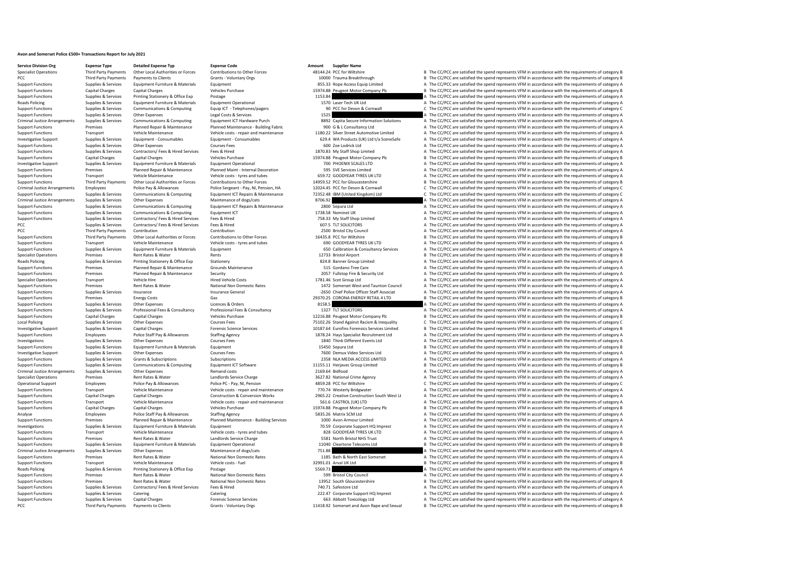## **Avon and Somerset Police £500+ Transactions Report for July 2021**

**Service Division Org Expense Type Detailed Expense Typ Expense Code Amount Supplier Name**

## Specialist Operations Third Party Payments Other Local Authorities or Forces Contributions to Other Forces 48144.24 PCC for Wiltshire Bay and B The CC/PCC are satisfied the spend represents VFM in accordance with the requi PCC Third Party Payments of Payments of Clients Grants - Voluntary Orgs and the Stategory B and Breakthrough B The CC/PCC are satisfied the spend represents VFM in accordance with the requirements of category B Sranty Drep Support Functions Supplies & Services Equipment Functions Supplies & Services Equipment Equipment Equipment Equipment and the Services Equipment and the spend represents VFM in accordance with the requirements of category Support Functions Capital Charges Capital Charges Vehicles Purchase Vehicles Purchase 15974.88 Peugeot Motor Company Plc B The CC/PCC are satisfied the spend represents VFM in accordance with the requirements of category B Support Functions Supplies & Services Printing Stationery & Office Exp Postage Printing Postage Printing Postage Postage Postage 1153.84 A The CC/PCC are satisfied the spend represents VFM in accordance with the requiremen Roads Policing Supplies & Services Equipment Furniture & Materials Equipment Operational 1570 Laser Tech UK Ltd A The CC/PCC are satisfied the spend represents VFM in accordance with the requirements of category A Supplies Support Functions Supplies & Services Communications & Computing Equip ICT - Telephones/pagers 90 PCC for Devon & Cornwall C The CC/PCC are satisfied the spend represents VFM in accordance with the requirements of category C Support Functions Supplies & Services Other Expenses Legal Costs & Services Legal Costs & Services Legal Costs & Services 1525 A The CC/PCC are satisfied the spend represents VFM in accordance with the requirements of cate Criminal Justice Arrangements Supplies & Services Communications & Computing Equipment ICT Hardware Purch 2022<br>Support Functions a Demiser Planned Maintenance Planned Maintenance Building Fabric 900 G & L Consultancy Itd A Support Functions Premises Planned Repair & Maintenance Planned Maintenance - Building Fabric 900 G & L Consultancy Ltd A The CC/PCC are satisfied the spend represents VFM in accordance with the requirements of category A Support Functions Transport Vehicle Maintenance Vehicle costs repair and maintenance 1180.22 Silver Street Automotive Limited A The CC/PCC are satisfied the spend represents VFM in accordance with the requirements of categ Supplies & Services Equipment - Consumables Equipment - Consumables and the CONSULT CONSULTER Services Equipment Consumables Equipment - Consumables and the CONSULTER CONSULTER A The COPCC are satisfied the spend represent Support Functions Supplies & Services Other Expenses Courses Courses Fees Courses Courses Courses Courses Courses Expenses Courses Fees 600 Zoe Lodrick Ltd A The CC/PCC are satisfied the spend represents VFM in accordance Support Functions Supplies & Services Contractors/ Fees & Hired Services Fees & Hired Hired 1870.83 My Staff Shop Limited A The CC/PCC are satisfied the spend represents VFM in accordance with the requirements of category Support Functions Capital Charges Capital Charges Vehicles Purchase Vehicles Purchase 15974.88 Peugeot Motor Company Plc B The CC/PCC are satisfied the spend represents VFM in accordance with the requirements of category B Investigative Support Supplies & Services Equipment Furniture & Materials Equipment Operational Purniture Operational 700 PHOENIX SCALES LTD A The CC/PCC are satisfied the spend represents VFM in accordance with the requir Support Functions Premises Planned Repair & Maintenance Planned Maint - Internal Decoration 595 SVE Services Limited A The CC/PCC are satisfied the spend represents VFM in accordance with the requirements of category A Veh Transport Vehicle Maintenance Vehicle Costs - tyres and tubes 659.72 GOODYEAR TYRES UK LTD A The CC/PCC are satisfied the spend represents VFM in accordance with the requirements of category B Third Party Payments of categ Support Functions Third Party Payments Other Local Authorities or Forces Contributions to Other Forces 14959.52 PCC for Gloucestershire Basical Base of The CC/PCC are satisfied the spend represents VFM in accordance with t Criminal Justice Arrangements Employees Police Pay & Allowances Police Sergeant - Pay, NI, Pension, HA 12024.45 PCC for Devon & Cornwall CThe CC/PCC are satisfied the spend represents VFM in accordance with the requirement Support Functions Supplies & Services Communications & Computing Equipment ICT Repairs & Maintenance 72352.48 IBM (United Kingdom) Ltd C/PCC are satisfied the spend represents VFM in accordance with the requirements of cat Criminal Justice Arrangements Supplies & Services Other Expenses Maintenance of dogs/cats Maintenance of dogs/cats 8706.92 A The CC/PCC are satisfied the spend represents VFM in accordance with the requirements of category Support Functions Supplies & Services Communications & Computing Equipment ICT Repairs & Maintenance 2800 Sepura Ltd A The CC/PCC are satisfied the spend represents VFM in accordance with the requirements of category A Sup Support Functions Supplies & Services Communications & Computing Equipment ICT 1738.58 Nominet UK 1738.58 Nominet UK A The CC/PCC are satisfied the spend represents VFM in accordance with the requirements of category A Sup Support Functions Supplies & Services Contractors/ Fees & Hired Services Fees & Hired Fees & Hired 758.33 My Staff Shop Limited A The CC/PCC are satisfied the spend represents VFM in accordance with the requirements of cat Supplies & Services Contractors/ Fees & Hired Services Fees & Hired Stephen Services Services Fees & Hired 607.5 TLT SOLICITORS A The CC/PCC are satisfied the spend represents VFM in accordance with the requirements of cat PCC Third Party Payments of Contribution Contribution Contribution Contribution Contribution Contribution Contribution 2500 Bristol City Council A The CC/PCC are satisfied the spend represents VFM in accordance with the re Support Functions Third Party Payments Other Local Authorities or Forces Contributions to Other Forces and tubes<br>
Transport Vehicle Maintenance Vehicle costs-tyres and tubes and tubes of COODYEAR TYRES UKLTD A The CC/PCC a Transport Vehicle Maintenance Vehicle costs - tyres and tubes 690 GOODYEAR TYRES UK LTD A The CC/PCC are satisfied the spend represents VFM in accordance with the requirements of category A Support Category A Support of th Support Functions Supplies & Services Equipment Furniture & Materials Equipment Equipment Equipment 650 Calibration & Consultancy Services A The CC/PCC are satisfied the spend represents VFM in accordance with the requirem Specialist Operations Premises Premises Rent Rates & Water Rents Rents Rents Rents Rents Rents Premises Rents Rents Rents Rents Rents 12733 Bristol Airport B The CC/PCC are satisfied the spend represents VFM in accordance Roads Policing Supplies & Services Printing Stationery & Office Exp Stationery Stationery Stationery Stationery and Banner Group Limited A The CC/PCC are satisfied the spend represents VFM in accordance with the requiremen A The CC/PCC are satisfied the spend represents VFM in accordance with the requirements of category A Support Functions Premises Premises Planned Repair & Maintenance Security 2007 Fullstop Fire & Security 1td A The CC/PCC are satisfied the spend represents VFM in accordance with the requirements of category A Specialist Operations Transport Vehicle Hire Vehicle Hire Hired Vehicle Costs Hired Vehicle Costs 1781.46 Scot Group Ltd A The CC/PCC are satisfied the spend represents VFM in accordance with the requirements of category A Support Functions Premises Rent Rates & Water National Non Domestic Rates 1472 Somerset West and Taunton Council A The CC/PCC are satisfied the spend represents VFM in accordance with the requirements of category A Support Support Functions Support Functions The CC/PCC are satisfied the spend represents VFM in accordance with the requirements of category A The CC/PC are satisfied the spend represents VFM in accordance with the requirements o Support Functions Premises Energy Costs Gas Costs Gas Costs Gas 29370.25 CORONA ENERGY RETAIL 4 LTD B The CC/PCC are satisfied the spend represents VFM in accordance with the requirements of category B Support Functions Su Support Functions Supplies & Services Other Expenses Licences & Orders Licences & Orders and Support Category A The CC/PCC are satisfied the spend represents VFM in accordance with the requirements of category A Support Fu Support Functions Supplies & Services Professional Fees & Consultancy Professional Fees & Consultancy Professional Fees & Consultancy 1327 TLT SOLICITORS A The CC/PCC are satisfied the spend represents VFM in accordance wi Support Functions Capital Charges Capital Charges Capital Charges Vehicles Purchase 12216.88 Peugeot Motor Company Plc B The CC/PCC are satisfied the spend represents VFM in accordance with the requirements of category B C Local Policing Supplies & Services Other Expenses Courses Fees 75102.26 Stand Against Racism & Inequality C The CC/PCC are satisfied the spend represents VFM in accordance with the requirements of category C Investigative Support Support Support Support Support Support Support Support Support Support Support Support<br>Support Functions and Police Support Police Staff Pay & Allowances Staffing Agency Staffing Agency Support Funct Support Functions Functions Functions Staffing Agency 1878.24 Hays Specialist Recruitment Ltd A The CC/PCC are satisfied the spend represents VFM in accordance with the requirements of category A Support Courses Frees Cour Investigations Supplies & Services Other Expenses Courses Fees Courses Fees 1840 Think Different Events Ltd A The CC/PCC are satisfied the spend represents VFM in accordance with the requirements of category A Support Functions Supplies & Services Equipment Functions Equipment Equipment Equipment Equipment Equipment Equipment 15450 Sepura Ltd B The CC/PCC are satisfied the spend represents VFM in accordance with the requirements Investigative Support Supplies & Services Other Expenses Courses Fees Courses Fees 7600 Demux Video Services Ltd A The CC/PCC are satisfied the spend represents VFM in accordance with the requirements of category A Subscri Subscriptions Subscriptions Subscriptions Subscriptions 2358 NLA MEDIA ACCESS LIMITED A The CC/PCC are satisfied the spend represents VFM in accordance with the requirements of category A The CC/PC are satisfied the spend Support Functions Supplies & Services Communications & Computing Equipment ICT Software 11155.11 Herjavec Group Limited B The CC/PCC are satisfied the spend represents VFM in accordance with the requirements of category B Criminal Justice Arrangements Supplies & Services Other Expenses Remand costs Remand costs Remand costs 2169.64 Bidfood 2008.2.32 National Crime Agency A The CC/PCC are satisfied the spend represents VFM in accordance with Specialist Operations Premises Rent Rates & Water Mater Landlords Service Charge 2027.82 National Crime Agency<br>1992 Operational Support And The CC/PCC are satisfied the spend represents VFM in accordance with the requireme C The CC/PCC are satisfied the spend represents VFM in accordance with the requirements of category C Support Functions Transport Vehicle Maintenance Vehicle costs - repair and maintenance 770.74 Westerly Bridgwater A The CC/PCC are satisfied the spend represents VFM in accordance with the requirements of category A Support Functions Capital Charges Capital Charges Capital Charges Construction & Construction & Conversion Works 2965.22 Creative Construction South West Lt A The CC/PCC are satisfied the spend represents VFM in accordance Support Functions Transport Vehicle Maintenance Vehicle Costs - repair and maintenance 561.6 CASTROL (UK) LTD A The CC/PCC are satisfied the spend represents VFM in accordance with the requirements of category A The Crip i SSP Peugeot Motor Company Plc **Examples CAPITAL CHARGES CAPITAL CON** CHARGES The CC/PCC are satisfied the spend represents VFM in accordance with the requirements of category B The CC/PCC are satisfied the spend represents Analyse Employees Police Staff Pay & Allowances Staffing Agency Sass.26 Matrix SCM Ltd A The CC/PCC are satisfied the spend represents VFM in accordance with the requirements of category A Support Functions Premises Planne Support Functions Premises Planned Repair & Maintenance Planned Maintenance - Building Services 1000 Avon Armour Limited A The CC/PCC are satisfied the spend represents VFM in accordance with the requirements of category A A The CC/PCC are satisfied the spend represents VFM in accordance with the requirements of category A Support Functions Transport Vehicle Maintenance Vehicle costs - tyres and tubes 828 GOODYEAR TYRES UK LTD A The CC/PCC are satisfied the spend represents VFM in accordance with the requirements of category A satisfied the Support Functions Premises Rent Rates & Water Landlords Service Charge 5581 North Bristol NHS Trust A The CC/PCC are satisfied the spend represents VFM in accordance with the requirements of category A Support Functions an Support Functions Supplies & Services Equipment Furniture & Materials Equipment Operational 11040 Cleartone Telecoms Ltd B The CC/PCC are satisfied the spend represents VFM in accordance with the requirements of category B Criminal Justice Arrangements of dogs/cats The Supplies Arrangements of degency A The CC/PCC are satisfied the spend represents VFM in accordance with the requirements of category A The Criminal Non Domestic Rates 1185 Bat Support Functions Premises Rent Rates & Water National Non Domestic Rates 1185 Bath & North East Somerset A The CC/PCC are satisfied the spend represents VFM in accordance with the requirements of category A Support Functions Transport Vehicle Maintenance Vehicle costs - fuel 32991.01 Arval UK Ltd B The CC/PCC are satisfied the spend represents VFM in accordance with the requirements of category B Roads Policing Supplies & Ser Roads Policing Supplies & Services Printing Stationery & Office Exp Postage Printing Stational Non Domestic Rates Printing States Postage Postage Supplies are satisfied the Spend represents VFM in accordance with the requi Premises Rent Rates & Water National Non Domestic Rates 599 Bristol City Council A The CC/PCC are satisfied the spend represents VFM in accordance with the requirements of category A Support Functions Premises Premises Rent Rates & Water National Non Domestic Rates 13952 South Gloucestershire B The CC/PCC are satisfied the spend represents VFM in accordance with the requirements of category B Support F Support Functions Supplies & Services Contractors/ Fees & Hired Services Fees & Hired Fees A Hired 740.71 Safestore Ltd A The CC/PCC are satisfied the spend represents VFM in accordance with the requirements of category A Support Functions Category A The CC/PCC are satisfied the spend represents VFM in accordance with the requirements of category A The CC/PCC are satisfied the spend represents VFM in accordance with the requirements of cate Support Functions Supplies Support Functions Supplies Capital Charges Capital Charges Forensic Services 663 Abbott Toxicology Ltd A The CC/PCC are satisfied the spend represents VFM in accordance with the equirements of ca PCC Third Party Payments Payments to Clients Grants Voluntary Orgs 11418.92 Somerset and Avon Rape and Sexual B The CC/PCC are satisfied the spend represents VFM in accordance with the requirements of category B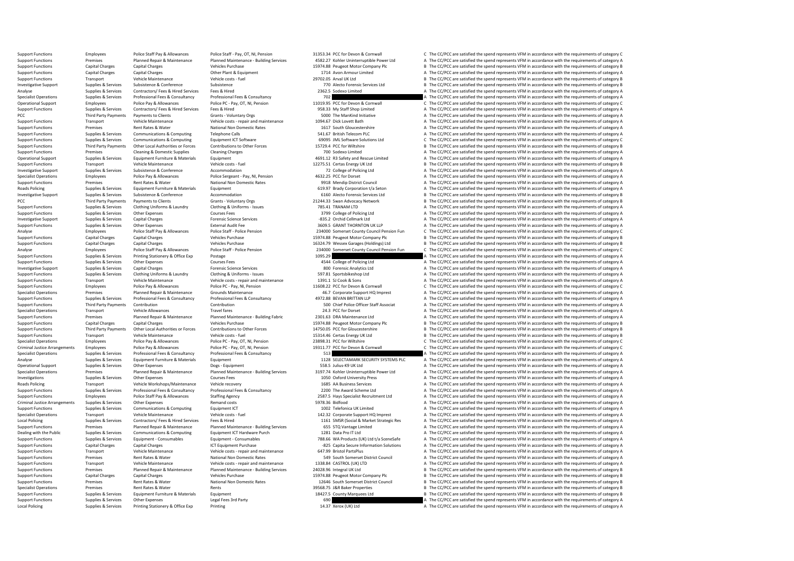| <b>Support Functions</b>             | Premises               | Planned Repair & Maintenance       | Planned Maintenance - Building Services | 4582.27 Kohler Uninterruptible Power Ltd   | A The CC/PCC are satisfied the spend represents VFM in accordance with the requirements of category A |
|--------------------------------------|------------------------|------------------------------------|-----------------------------------------|--------------------------------------------|-------------------------------------------------------------------------------------------------------|
| <b>Support Functions</b>             | <b>Capital Charges</b> | <b>Capital Charges</b>             | <b>Vehicles Purchase</b>                | 15974.88 Peugeot Motor Company Plc         | B The CC/PCC are satisfied the spend represents VFM in accordance with the requirements of category B |
| <b>Support Functions</b>             | Capital Charges        | <b>Capital Charges</b>             | Other Plant & Equipment                 | 1714 Avon Armour Limited                   | A The CC/PCC are satisfied the spend represents VFM in accordance with the requirements of category A |
|                                      |                        |                                    |                                         |                                            |                                                                                                       |
| <b>Support Functions</b>             | Transport              | Vehicle Maintenance                | Vehicle costs - fuel                    | 29702.05 Arval UK Ltd                      | B The CC/PCC are satisfied the spend represents VFM in accordance with the requirements of category B |
| <b>Investigative Support</b>         | Supplies & Services    | Subsistence & Conference           | Subsistence                             | 770 Alecto Forensic Services Ltd           | B The CC/PCC are satisfied the spend represents VFM in accordance with the requirements of category B |
| Analyse                              | Supplies & Services    | Contractors/ Fees & Hired Services | Fees & Hired                            | 2362.5 Sodexo Limited                      | A The CC/PCC are satisfied the spend represents VFM in accordance with the requirements of category A |
| <b>Specialist Operations</b>         | Supplies & Services    | Professional Fees & Consultancy    | Professional Fees & Consultancy         | 702                                        | A The CC/PCC are satisfied the spend represents VFM in accordance with the requirements of category A |
|                                      |                        | Police Pay & Allowances            |                                         | 11019.95 PCC for Devon & Cornwall          |                                                                                                       |
| Operational Support                  | Employees              |                                    | Police PC - Pay, OT, NI, Pension        |                                            | C The CC/PCC are satisfied the spend represents VFM in accordance with the requirements of category C |
| <b>Support Functions</b>             | Supplies & Services    | Contractors/ Fees & Hired Services | Fees & Hired                            | 958.33 My Staff Shop Limited               | A The CC/PCC are satisfied the spend represents VFM in accordance with the requirements of category A |
| PCC                                  | Third Party Payments   | Payments to Clients                | Grants - Voluntary Orgs                 | 5000 The ManKind Initiative                | A The CC/PCC are satisfied the spend represents VFM in accordance with the requirements of category A |
| <b>Support Functions</b>             | Transport              | Vehicle Maintenance                | Vehicle costs - repair and maintenance  | 1094.67 Dick Lovett Bath                   | A The CC/PCC are satisfied the spend represents VFM in accordance with the requirements of category A |
| <b>Support Functions</b>             | Premises               | Rent Rates & Water                 | National Non Domestic Rates             | 1617 South Gloucestershire                 | A The CC/PCC are satisfied the spend represents VFM in accordance with the requirements of category A |
|                                      |                        |                                    |                                         |                                            |                                                                                                       |
| <b>Support Functions</b>             | Supplies & Services    | Communications & Computing         | <b>Telephone Calls</b>                  | 541.67 British Telecom PLC                 | A The CC/PCC are satisfied the spend represents VFM in accordance with the requirements of category A |
| <b>Support Functions</b>             | Supplies & Services    | Communications & Computing         | Equipment ICT Software                  | 69095 JML Software Solutions Ltd           | C The CC/PCC are satisfied the spend represents VFM in accordance with the requirements of category C |
| <b>Support Functions</b>             | Third Party Payments   | Other Local Authorities or Forces  | Contributions to Other Forces           | 15729.4 PCC for Wiltshire                  | B The CC/PCC are satisfied the spend represents VFM in accordance with the requirements of category B |
| <b>Support Functions</b>             | Premises               | Cleaning & Domestic Supplies       | <b>Cleaning Charges</b>                 | 700 Sodexo Limited                         | A The CC/PCC are satisfied the spend represents VFM in accordance with the requirements of category A |
|                                      |                        |                                    |                                         | 4691.12 R3 Safety and Rescue Limited       | A The CC/PCC are satisfied the spend represents VFM in accordance with the requirements of category A |
| <b>Operational Support</b>           | Supplies & Services    | Equipment Furniture & Materials    | Equipment                               |                                            |                                                                                                       |
| <b>Support Functions</b>             | Transport              | Vehicle Maintenance                | Vehicle costs - fuel                    | 12275.51 Certas Energy UK Ltd              | B The CC/PCC are satisfied the spend represents VFM in accordance with the requirements of category B |
| <b>Investigative Support</b>         | Supplies & Services    | Subsistence & Conference           | Accommodation                           | 72 College of Policing Ltd                 | A The CC/PCC are satisfied the spend represents VFM in accordance with the requirements of category A |
| <b>Specialist Operations</b>         | Employees              | Police Pay & Allowances            | Police Sergeant - Pay, NI, Pension      | 4632.25 PCC for Dorset                     | A The CC/PCC are satisfied the spend represents VFM in accordance with the requirements of category A |
| <b>Support Functions</b>             | Premises               | Rent Rates & Water                 | National Non Domestic Rates             | 9918 Mendip District Council               | A The CC/PCC are satisfied the spend represents VFM in accordance with the requirements of category A |
| Roads Policing                       | Supplies & Services    | Equipment Furniture & Materials    |                                         | 619.97 Brady Corporation t/a Seton         | A The CC/PCC are satisfied the spend represents VFM in accordance with the requirements of category A |
|                                      |                        |                                    | Equipment                               |                                            |                                                                                                       |
| <b>Investigative Support</b>         | Supplies & Services    | Subsistence & Conference           | Accommodation                           | 6160 Alecto Forensic Services Ltd          | B The CC/PCC are satisfied the spend represents VFM in accordance with the requirements of category B |
| PCC                                  | Third Party Payments   | Payments to Clients                | Grants - Voluntary Orgs                 | 21244.33 Swan Advocacy Network             | B The CC/PCC are satisfied the spend represents VFM in accordance with the requirements of category B |
| <b>Support Functions</b>             | Supplies & Services    | Clothing Uniforms & Laundry        | Clothing & Uniforms - Issues            | 785.41 TRANAM LTD                          | A The CC/PCC are satisfied the spend represents VFM in accordance with the requirements of category A |
| <b>Support Functions</b>             | Supplies & Services    | Other Expenses                     | <b>Courses Fees</b>                     | 3799 College of Policing Ltd               | A The CC/PCC are satisfied the spend represents VFM in accordance with the requirements of category A |
|                                      |                        |                                    |                                         |                                            |                                                                                                       |
| <b>Investigative Support</b>         | Supplies & Services    | <b>Capital Charges</b>             | <b>Forensic Science Services</b>        | -835.2 Orchid Cellmark Ltd                 | A The CC/PCC are satisfied the spend represents VFM in accordance with the requirements of category A |
| <b>Support Functions</b>             | Supplies & Services    | Other Expenses                     | <b>External Audit Fee</b>               | 3609.5 GRANT THORNTON UK LLP               | A The CC/PCC are satisfied the spend represents VFM in accordance with the requirements of category A |
| Analyse                              | Employees              | Police Staff Pay & Allowances      | Police Staff - Police Pension           | 234000 Somerset County Council Pension Fun | C The CC/PCC are satisfied the spend represents VFM in accordance with the requirements of category C |
| <b>Support Functions</b>             | <b>Capital Charges</b> | <b>Capital Charges</b>             | <b>Vehicles Purchase</b>                | 15974.88 Peugeot Motor Company Plc         | B The CC/PCC are satisfied the spend represents VFM in accordance with the requirements of category B |
|                                      |                        |                                    |                                         |                                            |                                                                                                       |
| <b>Support Functions</b>             | <b>Capital Charges</b> | <b>Capital Charges</b>             | <b>Vehicles Purchase</b>                | 16324.79 Wessex Garages (Holdings) Ltd     | B The CC/PCC are satisfied the spend represents VFM in accordance with the requirements of category B |
| Analyse                              | Employees              | Police Staff Pay & Allowances      | Police Staff - Police Pension           | 234000 Somerset County Council Pension Fun | C The CC/PCC are satisfied the spend represents VFM in accordance with the requirements of category C |
| <b>Support Functions</b>             | Supplies & Services    | Printing Stationery & Office Exp   | Postage                                 | 1095.29                                    | A The CC/PCC are satisfied the spend represents VFM in accordance with the requirements of category A |
| <b>Support Functions</b>             | Supplies & Services    | Other Expenses                     | <b>Courses Fees</b>                     | 4544 College of Policing Ltd               | A The CC/PCC are satisfied the spend represents VFM in accordance with the requirements of category A |
| <b>Investigative Support</b>         | Supplies & Services    | <b>Capital Charges</b>             | <b>Forensic Science Services</b>        | 800 Forensic Analytics Ltd                 | A The CC/PCC are satisfied the spend represents VFM in accordance with the requirements of category A |
|                                      |                        |                                    |                                         |                                            |                                                                                                       |
| <b>Support Functions</b>             | Supplies & Services    | Clothing Uniforms & Laundry        | Clothing & Uniforms - Issues            | 597.81 Sportsbikeshop Ltd                  | A The CC/PCC are satisfied the spend represents VFM in accordance with the requirements of category A |
| <b>Support Functions</b>             | Transport              | Vehicle Maintenance                | Vehicle costs - repair and maintenance  | 1391.1 SJ Cook & Sons                      | A The CC/PCC are satisfied the spend represents VFM in accordance with the requirements of category A |
| <b>Support Functions</b>             | Employees              | Police Pay & Allowances            | Police PC - Pay, NI, Pension            | 11608.22 PCC for Devon & Cornwall          | C The CC/PCC are satisfied the spend represents VFM in accordance with the requirements of category C |
| <b>Specialist Operations</b>         | Premises               | Planned Repair & Maintenance       | Grounds Maintenance                     | 46.7 Corporate Support HQ Imprest          | A The CC/PCC are satisfied the spend represents VFM in accordance with the requirements of category A |
| <b>Support Functions</b>             | Supplies & Services    | Professional Fees & Consultancy    | Professional Fees & Consultancy         | 4972.88 BEVAN BRITTAN LLP                  | A The CC/PCC are satisfied the spend represents VFM in accordance with the requirements of category A |
|                                      |                        |                                    |                                         |                                            |                                                                                                       |
| <b>Support Functions</b>             | Third Party Payments   | Contribution                       | Contribution                            | 500 Chief Police Officer Staff Associat    | A The CC/PCC are satisfied the spend represents VFM in accordance with the requirements of category A |
| <b>Specialist Operations</b>         | Transport              | <b>Vehicle Allowances</b>          | <b>Travel fares</b>                     | 24.3 PCC for Dorset                        | A The CC/PCC are satisfied the spend represents VFM in accordance with the requirements of category A |
| <b>Support Functions</b>             | Premises               | Planned Repair & Maintenance       | Planned Maintenance - Building Fabric   | 2301.63 DRA Maintenance Ltd                | A The CC/PCC are satisfied the spend represents VFM in accordance with the requirements of category A |
| <b>Support Functions</b>             | <b>Capital Charges</b> | <b>Capital Charges</b>             | Vehicles Purchase                       | 15974.88 Peugeot Motor Company Plc         | B The CC/PCC are satisfied the spend represents VFM in accordance with the requirements of category B |
| <b>Support Functions</b>             | Third Party Payments   | Other Local Authorities or Forces  | Contributions to Other Forces           | 14750.05 PCC for Gloucestershire           | B The CC/PCC are satisfied the spend represents VFM in accordance with the requirements of category B |
|                                      |                        |                                    |                                         |                                            |                                                                                                       |
| <b>Support Functions</b>             | Transport              | Vehicle Maintenance                | Vehicle costs - fuel                    | 15314.46 Certas Energy UK Ltd              | B The CC/PCC are satisfied the spend represents VFM in accordance with the requirements of category B |
| <b>Specialist Operations</b>         | Employees              | Police Pay & Allowances            | Police PC - Pay, OT, NI, Pension        | 23898.31 PCC for Wiltshire                 | C The CC/PCC are satisfied the spend represents VFM in accordance with the requirements of category C |
| <b>Criminal Justice Arrangements</b> | Employees              | Police Pay & Allowances            | Police PC - Pay, OT, NI, Pension        | 19311.77 PCC for Devon & Cornwall          | C The CC/PCC are satisfied the spend represents VFM in accordance with the requirements of category C |
| <b>Specialist Operations</b>         | Supplies & Services    | Professional Fees & Consultancy    | Professional Fees & Consultancy         | 513                                        | A The CC/PCC are satisfied the spend represents VFM in accordance with the requirements of category A |
| Analyse                              | Supplies & Services    | Equipment Furniture & Materials    | Equipment                               | 1128 SELECTAMARK SECURITY SYSTEMS PLC      | A The CC/PCC are satisfied the spend represents VFM in accordance with the requirements of category A |
|                                      |                        |                                    |                                         |                                            |                                                                                                       |
| Operational Support                  | Supplies & Services    | Other Expenses                     | Dogs - Equipment                        | 558.5 Julius-K9 UK Ltd                     | A The CC/PCC are satisfied the spend represents VFM in accordance with the requirements of category A |
| <b>Specialist Operations</b>         | Premises               | Planned Repair & Maintenance       | Planned Maintenance - Building Services | 3197.74 Kohler Uninterruptible Power Ltd   | A The CC/PCC are satisfied the spend represents VFM in accordance with the requirements of category A |
| Investigations                       | Supplies & Services    | Other Expenses                     | <b>Courses Fees</b>                     | 1050 Oxford University Press               | A The CC/PCC are satisfied the spend represents VFM in accordance with the requirements of category A |
| <b>Roads Policing</b>                | Transport              | Vehicle Workshops/Maintenance      | Vehicle recovery                        | 1685 AA Business Services                  | A The CC/PCC are satisfied the spend represents VFM in accordance with the requirements of category A |
| <b>Support Functions</b>             | Supplies & Services    | Professional Fees & Consultancy    | Professional Fees & Consultancy         | 2200 The Award Scheme Ltd                  | A The CC/PCC are satisfied the spend represents VFM in accordance with the requirements of category A |
|                                      |                        |                                    |                                         |                                            |                                                                                                       |
| <b>Support Functions</b>             | Employees              | Police Staff Pay & Allowances      | <b>Staffing Agency</b>                  | 2587.5 Hays Specialist Recruitment Ltd     | A The CC/PCC are satisfied the spend represents VFM in accordance with the requirements of category A |
| <b>Criminal Justice Arrangements</b> | Supplies & Services    | Other Expenses                     | Remand costs                            | 5978.36 Bidfood                            | A The CC/PCC are satisfied the spend represents VFM in accordance with the requirements of category A |
| <b>Support Functions</b>             | Supplies & Services    | Communications & Computing         | Equipment ICT                           | 1002 Telefonica UK Limited                 | A The CC/PCC are satisfied the spend represents VFM in accordance with the requirements of category A |
| <b>Specialist Operations</b>         | Transport              | Vehicle Maintenance                | Vehicle costs - fuel                    | 142.32 Corporate Support HQ Imprest        | A The CC/PCC are satisfied the spend represents VFM in accordance with the requirements of category A |
| Local Policing                       |                        |                                    | Fees & Hired                            |                                            |                                                                                                       |
|                                      | Supplies & Services    | Contractors/ Fees & Hired Services |                                         | 1161 SMSR (Social & Market Strategic Res   | A The CC/PCC are satisfied the spend represents VFM in accordance with the requirements of category A |
| <b>Support Functions</b>             | Premises               | Planned Repair & Maintenance       | Planned Maintenance - Building Services | 655 STQ Vantage Limited                    | A The CC/PCC are satisfied the spend represents VFM in accordance with the requirements of category A |
| Dealing with the Public              | Supplies & Services    | Communications & Computing         | Equipment ICT Hardware Purch            | 1281 Data Pro IT Ltd                       | A The CC/PCC are satisfied the spend represents VFM in accordance with the requirements of category A |
| <b>Support Functions</b>             | Supplies & Services    | Equipment - Consumables            | Equipment - Consumables                 | 788.66 WA Products (UK) Ltd t/a SceneSafe  | A The CC/PCC are satisfied the spend represents VFM in accordance with the requirements of category A |
| <b>Support Functions</b>             | Capital Charges        | <b>Capital Charges</b>             | ICT Equipment Purchase                  | -825 Capita Secure Information Solutions   | A The CC/PCC are satisfied the spend represents VFM in accordance with the requirements of category A |
|                                      |                        |                                    |                                         | 647.99 Bristol PartsPlus                   | A The CC/PCC are satisfied the spend represents VFM in accordance with the requirements of category A |
| <b>Support Functions</b>             | Transport              | Vehicle Maintenance                | Vehicle costs - repair and maintenance  |                                            |                                                                                                       |
| <b>Support Functions</b>             | Premises               | Rent Rates & Water                 | National Non Domestic Rates             | 549 South Somerset District Council        | A The CC/PCC are satisfied the spend represents VFM in accordance with the requirements of category A |
| <b>Support Functions</b>             | Transport              | Vehicle Maintenance                | Vehicle costs - repair and maintenance  | 1338.84 CASTROL (UK) LTD                   | A The CC/PCC are satisfied the spend represents VFM in accordance with the requirements of category A |
| <b>Support Functions</b>             | Premises               | Planned Repair & Maintenance       | Planned Maintenance - Building Services | 24028.96 Integral UK Ltd                   | B The CC/PCC are satisfied the spend represents VFM in accordance with the requirements of category B |
| <b>Support Functions</b>             | <b>Capital Charges</b> | Capital Charges                    | <b>Vehicles Purchase</b>                | 15974.88 Peugeot Motor Company Plc         | B The CC/PCC are satisfied the spend represents VFM in accordance with the requirements of category B |
| <b>Support Functions</b>             | Premises               | Rent Rates & Water                 | National Non Domestic Rates             | 12646 South Somerset District Council      | B The CC/PCC are satisfied the spend represents VFM in accordance with the requirements of category B |
|                                      |                        |                                    |                                         |                                            |                                                                                                       |
| <b>Specialist Operations</b>         | Premises               | Rent Rates & Water                 | Rents                                   | 39568.75 J&R Baker Properties              | B The CC/PCC are satisfied the spend represents VFM in accordance with the requirements of category B |
| <b>Support Functions</b>             | Supplies & Services    | Equipment Furniture & Materials    | Equipment                               | 18427.5 County Marquees Ltd                | B The CC/PCC are satisfied the spend represents VFM in accordance with the requirements of category B |
| <b>Support Functions</b>             | Supplies & Services    | Other Expenses                     | Legal Fees 3rd Party                    | 690                                        | A The CC/PCC are satisfied the spend represents VFM in accordance with the requirements of category A |
| Local Policing                       | Supplies & Services    | Printing Stationery & Office Exp   | Printing                                | 14.37 Xerox (UK) Ltd                       | A The CC/PCC are satisfied the spend represents VFM in accordance with the requirements of category A |
|                                      |                        |                                    |                                         |                                            |                                                                                                       |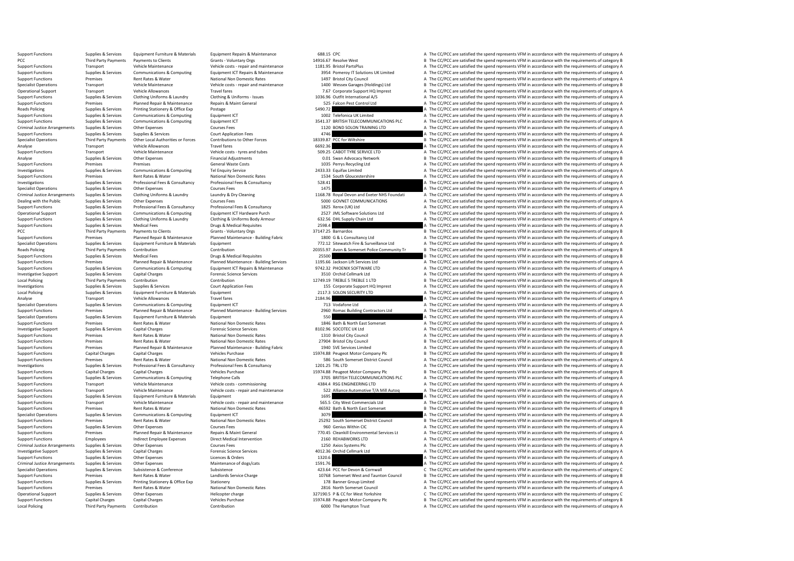Support Functions Supplies & Services Equipment Furniture & Materials Equipment Repairs & Maintenance 688.15 CPC A The CC/PCC are satisfied the spend represents VFM in accordance with the requirements of category A Grants PCC Third Party Payments of Payments of Clients Grants - Voluntary Orgs 14916.67 Resolve West B The CC/PCC are satisfied the spend represents VFM in accordance with the requirements of category B Vehicle costs - repair and Support Functions Transport Vehicle Maintenance Vehicle costs - repair and maintenance 1181.95 Bristol PartsPlus A The CC/PCC are satisfied the spend represents VFM in accordance with the requirements of category A Support Support Functions Supplies & Services Communications & Computing Equipment ICT Repairs & Maintenance 3954 Pomeroy IT Solutions UK Limited A The CC/PCC are satisfied the spend represents VFM in accordance with the requireme Support Functions Premises Rent Rates & Water National Non Domestic Rates 1497 Bristol City Council A The CC/PCC are satisfied the spend represents VFM in accordance with the requirements of category A Support Functions Tr Specialist Operations Transport Transport Centre Pericle Operation Centre of Centre Vehicle Centre Vehicle Centre Vehicle Centre of Centre of Centre and maintenance 1400 Wessex Garages (Holdings) Ltd B The CC/PCC are satis Operational Support Transport Vehicle Allowances Travel fares Travel fares Travel fares 7.67 Corporate Support HQ Imprest A The CC/PCC are satisfied the spend represents VFM in accordance with the requirements of category Support Functions Supplies & Services Clothing Uniforms & Laundry Clothing & Uniforms Clothing & Uniforms Clothing & Uniforms - ISS Earch 2006.96 Outfit International A/S A The CC/PCC are satisfied the spend represents VFM Premises Planned Repair & Maintenance Repairs & Maint General 525 Falcon Pest Control Ltd A The CC/PCC are satisfied the spend represents VFM in accordance with the requirements of category A The CC/PC are satisfied the sp Roads Policing Supplies & Services Printing Stationery & Office Exp Postage Postage Printing Postage Postage Stategory Postage 5490.72 A The CC/PCC are satisfied the spend represents VFM in accordance with the requirements Support Functions Supplies & Services Communications & Computing Equipment ICT 1002 Telefonica UK Limited A The CC/PCC are satisfied the spend represents VFM in accordance with the requirements of category A Support Functi Support Functions Supplies & Services Communications & Computing Equipment ICT 3541.37 BRITISH TELECOMMUNICATIONS PLC A The CC/PCC are satisfied the spend represents VFM in accordance with the requirements of category A Co Criminal Justice Arrangements Supplies & Services Other Expenses Courses Fees Courses Fees 1120 BOND SOLON TRAINING LTD A The CC/PCC are satisfied the spend represents VFM in accordance with the requirements of category A Support Functions Supplies & Services Supplies & Services Court Application Fees 4746 4746 A The CC/PCC are satisfied the spend represents VFM in accordance with the requirements of category A The Court Application Fees co Specialist Operations Third Party Payments Other Local Authorities or Forces Contributions to Other Forces 18339.87 PCC for Wiltshire Bureau B The CC/PCC are satisfied the spend represents VFM in accordance with the requir Vehicle Allowances Travel fares Travel fares Travel fares Travel fares and tubes and tubes and tubes the SOPAC AROT TRE SERVICE LTD A The CC/PCC are satisfied the spend represents VFM in accordance with the requirements of Support Transport Transport Transport Vehicle Maintenance Vehicle costs - tyres and tubes 509.25 CABOT TYRE SERVICE LTD A The CC/PCC are satisfied the spend represents VFM in accordance with the requirements of category A Analyse Supplies & Services Other Expenses Financial Adjustments Cost Companies Contract Contract Other Expenses Financial Adjustments of Companies Contract Departments of Companies of Category B and a Die Contract Departm Premises Premises Premises Supported Contains Support Functions Ceneral Waste Costs 1035 Perrys Recycling Ltd A The CC/PCC are satisfied the spend represents VFM in accordance with the requirements of category A Supported Investigations Supplies & Services Communications & Computing Tel Enquiry Service Tel Enquiry Service 2433.33 Equifax Limited A The CC/PCC are satisfied the spend represents VFM in accordance with the requirements of categ Support Functions Premises Premises Rent Rates & Water National Non Domestic Rates 1534 South Gloucestershire A The CC/PCC are satisfied the spend represents VFM in accordance with the requirements of category A Investigat Investigations Supplies & Services Professional Fees & Consultancy Professional Fees & Consultancy Professional Fees & Consultancy 528.41 A The CC/PCC are satisfied the spend represents VFM in accordance with the requireme Specialist Operations Supplies & Services Other Expenses Courses Courses Fees Courses Courses Courses Courses Courses Courses Courses Courses Courses Courses Courses Courses Courses Courses Courses Courses Courses Courses Criminal Justice Arrangements Supplies & Services Clothing Uniforms & Laundry Laundry Bunday & Dry Cleaning 168.78 Royal Devon and Exeter NHS Foundati A The CC/PCC are satisfied the spend represents VFM in accordance with Dealing with the Public Supplies & Services Other Expenses Courses Fees Courses Fees 5000 GOVNET COMMUNICATIONS A The CC/PCC are satisfied the spend represents VFM in accordance with the requirements of category A Services Support Functions Supplies & Services Professional Fees & Consultancy Professional Fees & Consultancy Professional Fees & Consultancy 1825 Xerox (UK) Ltd A The CC/PCC are satisfied the spend represents VFM in accordance wi Supplies & Services Communications & Computing Equipment ICT Hardware Purch 2527 JML Software Solutions Ltd A The CC/PCC are satisfied the spend represents VFM in accordance with the requirements of category A Contribute S Sunning Sunning Sunning Clothing United Services Clothing United On the Clothing & United States only at the Clothing Sunning Clothing & United States on Clothing Bulls and Clothing Bulls and Clothing Bulls and Clothing Bu Support Functions Supplies & Services Medical Fees Drugs & Medical Requisites Drugs & Medical Requisites Drugs & Medical Requisites 2598.4 A The CC/PCC are satisfied the spend represents VFM in accordance with the requirem PCC Third Party Payments of Payments of Clients Grants - Voluntary Orgs 37147.25 Barnardos B The CC/PCC are satisfied the spend represents VFM in accordance with the requirements of category B Support Functions Premises Pl Experience Functions Planned Repair & Maintenance Planned Maintenance - Building Fabric 1800 G & L Consultancy Ltd A The CC/PCC are satisfied the spend represents VFM in accordance with the requirements of category A Suppl Specialist Operations Supplies & Services Equipment Furniture & Materials Equipment Equipment Equipment Contribution<br>Roads Policing Contribution Contribution Contribution Contribution Contribution 2035597 Avon & Somerset P Roads Policing Third Party Payments Contribution Contribution Contribution Contribution Contribution Contribution Contribution Contribution Contribution Contribution 20355.97 Avon & Somerset Police Community Tr B The CC/PC Support Functions Supplies & Services Medical Fees Drugs & Medical Requisites Drugs & Medical Requisites 25500<br>Support Functions and Drugs Planned Repair & Maintenance Planned Maintenance - Building Services 1195.66 Jackso Premises Planned Repair & Maintenance Planned Maintenance - Building Services 1195.66 Jackson Lift Services Ltd<br>Sunnlies & Services Communications & Communications & Communications A Communications A Communications A Commu Supplies & Services Communications Computing Equipment ICT Repairs & Maintenance 3742.32 PHOENIX SOFTWARE LTD A The CC/PCC are satisfied the spend represents VFM in accordance with the requirements of category A Forensic S Investigative Support Supplies & Services Capital Charges Services Forensic Science Services Services 3510 Orchid Cellmark Ltd A The CC/PCC are satisfied the spend represents VFM in accordance with the requirements of cate Local Policing Third Party Payments Contribution Contribution Contribution Contribution Contribution Contribution 12749.19 TREBLE 5 TREBLE 1 LTD B The CC/PCC are satisfied the spend represents VFM in accordance with the re Supplies & Services Support Application Fees Court Application Fees 155 Corporate Support HQ Imprest A The CC/PCC are satisfied the spend represents VFM in accordance with the requirements of category A The Crime and the r Local Policing Supplies & Supplies & Services Equipment Eurniture & Materials Equipment Equipment 2117.3 SOLON SECURITY LTD A The CC/PCC are satisfied the spend represents VFM in accordance with the requirements of categor Analyse 2184.96 Analyse Transport Vehicle Allowances Travel fares Travel fares Travel fares and the computing Travel fares and the computing and the CC/PC are satisfied the spend represents VFM in accordance with the requi Specialist Operations Supplies & Services Communications & Computing Equipment ICT Equipment ICT 713 Vodafone Ltd A The CC/PCC are satisfied the spend represents VFM in accordance with the requirements of category A Suppli Support Functions Premises Planned Repair & Maintenance Planned Maintenance - Building Services 2960 Romac Building Contractors Ltd A The CC/PCC are satisfied the spend represents VFM in accordance with the requirements of Specialist Operations Supplies & Services Equipment Furniture & Materials Equipment Equipment Equipment Equipment Equipment 550 A The CC/PCC are satisfied the spend represents VFM in accordance with the requirements of cat Support Functions Premises Rent Rates & Water National Non Domestic Rates 1846 Bath & North East Somerset A The CC/PCC are satisfied the spend represents VFM in accordance with the requirements of category A Investigative Capital Charges Forensic Science Services and Support Capital Charges Support Charges Forensic Science Services 8102.96 SOCOTEC UK Ltd A The CC/PCC are satisfied the spend represents VFM in accordance with the requirements Support Functions Premises Rent Rates & Water National Non Domestic Rates 1310 Bristol City Council A The CC/PCC are satisfied the spend represents VFM in accordance with the requirements of category A National Non Domesti Support Functions Premises Rent Rates & Water National Non Domestic Rates 27904 Bristol City Council and The CC/PCC are satisfied the spend represents VFM in accordance with the requirements of category B Support Functions Support Functions Premises Planned Repair & Maintenance Planned Maintenance - Building Fabric 1940 SVE Services Limited A The CC/PCC are satisfied the spend represents VFM in accordance with the requirements of category B<br> B The CC/PCC are satisfied the spend represents VFM in accordance with the requirements of category B Support Functions Premises Premises Rent Rates & Water National Non Domestic Rates Sates 586 South Somerset District Council A The CC/PCC are satisfied the spend represents VFM in accordance with the requirements of catego Investigations Supplies & Services Professional Fees & Consultancy Professional Fees & Consultancy Professional Fees & Consultancy 1201.25 TRL LTD A The CC/PCC are satisfied the spend represents VFM in accordance with the Support Functions Capital Charges Capital Charges Capital Charges Vehicles Purchase 15974.88 Peugeot Motor Company Plc B The CC/PCC are satisfied the spend represents VFM in accordance with the requirements of category B T Support Functions Supplies & Services Communications & Computing Telephone Calls 3705 BRITISH TELECOMMUNICATIONS PLC A The CC/PCC are satisfied the spend represents VFM in accordance with the requirements of category A Veh Support Functions Transport Vehicle Maintenance Vehicle costs - commissioning 4384.4 RSG ENGINEERING LTD A The CC/PCC are satisfied the spend represents VFM in accordance with the requirements of category A Vehicle costs -Support Eurotions Transport Vehicle Maintenance Vehicle costs - repair and maintenance 522 Alliance 40tomotive T/A Mill Autoq A The CC/PCC are satisfied the spend represents VFM in accordance with the requirements of categ Equipment Furniture & Materials Equipment Functions Category A The CC/PCC are satisfied the spend represents VFM in accordance with the requirements of category A The CC/PCC are satisfied the spend represents VFM in accord Support Functions Transport Vehicle Maintenance Vehicle Costs - repair and maintenance 565.5 City West Commercials Ltd A The CC/PCC are satisfied the spend represents VFM in accordance with the requirements of category A S Support Functions Premises Rent Rates & Water National Non Domestic Rates 46592 Bath & North East Somerset B The CC/PCC are satisfied the spend represents VFM in accordance with the requirements of category B Somerial A Th Specialist Operations Supplies & Services Communications & Computing Equipment ICT Suppliers Computing Equipment ICT 3079 3079 A The CC/PCC are satisfied the spend represents VFM in accordance with the requirements of cate B The CC/PCC are satisfied the spend represents VFM in accordance with the requirements of category B Support Functions Supplies & Services Other Expenses Courses Courses Fees 960 Genius Within CIC A The CC/PCC are satisfied the spend represents VFM in accordance with the requirements of category A Support Functions Premises Planned Repair & Maintenance Repairs & Maint General 770.45 Cleankill Environmental Services Lt A The CC/PCC are satisfied the spend represents VFM in accordance with the requirements of category A. The CC/PCC are satisfied the spend represents VFM in accordance with the requirements of category A Criminal Justice Arrangements Supplies & Services Other Expenses Courses Fees Courses Fees 1250 Axios Systems Plc A The CC/PCC are satisfied the spend represents VFM in accordance with the requirements of category A The Cr Investigative Support Supplies & Services Capital Charges And Covernsic Science Services Forensic Science Services 4012.36 Orchid Cellmark Ltd A The CC/PCC are satisfied the spend represents VFM in accordance with the requ If The CC/PCC are satisfied the spend represents VFM in accordance with the requirements of category A Criminal Justice Arrangements Supplies & Services Other Expenses Maintenance of dogs/cats Maintenance of dogs/cats 1591.76 A The CC/PCC are satisfied the spend represents VFM in accordance with the requirements of category Specialist Operations Supplies & Services Subsistence Subsistence Subsistence Subsistence Subsistence Subsistence Subsistence Subsistence Subsistence Subsistence and the spend are and the COPC are stated are stated by the B. The CC/PCC are satisfied the spend represents VFM in accordance with the requirements of category B Support Functions Supplies & Services Printing Stationery Support Stationery Stationery Stationery Stationery Stationery Stationery 178 Banner Group Limited A The CC/PCC are satisfied the spend represents VFM in accordance Premises Rent Rates & Water National Non Domestic Rates 2816 North Somerset Council A The CC/PCC are satisfied the spend represents VFM in accordance with the requirements of category A Operational Support Supplies & Services Other Expenses Helicopter charge Helicopter charge 327190.5 P & CC for West Yorkshire C The CC/PCC are satisfied the spend represents VFM in accordance with the requirements of categ Support Functions Capital Charges Capital Charges Vehicles Purchase Vehicles Purchase 15974.88 Peugeot Motor Company Plc B The CC/PCC are satisfied the spend represents VFM in accordance with the requirements of category B A The CC/PCC are satisfied the spend represents VFM in accordance with the requirements of category A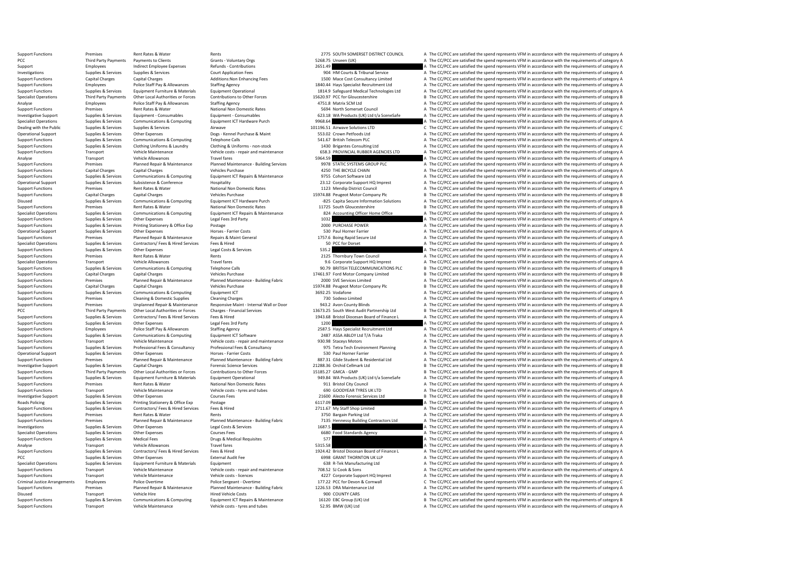Support Functions Premises Rent Rates & Water Rents Rents Rents Rents Rents 2775 SOUTH SOMERSET DISTRICT COUNCIL A The CC/PCC are satisfied the spend represents VFM in accordance with the requirements of category A Grants PCC Third Party Payments of Payments of Clients Grants - Voluntary Orgs Grants - Voluntary Orgs 5268.75 Unseen (UK) A The CC/PCC are satisfied the spend represents VFM in accordance with the requirements of category A Supp Support Employees Indirect Employee Expenses Refunds - Contributions 2651.49 A The CC/PCC are satisfied the spend represents VFM in accordance with the requirements of category A Court Application Fees 2001 HM Courts A The Investigations Supplies & Services Supplies & Services Court Application Fees 904 HM Courts & Tribunal Service A The CC/PCC are satisfied the spend represents VFM in accordance with the requirements of category A Support F Support Functions Capital Charges Capital Charges Additions:Non Enhancing Fees 1500 Mace Cost Consultancy Limited A The CC/PCC are satisfied the spend represents VFM in accordance with the requirements of category A Suppor Support Functions Employees Police Staff Pay & Allowances Staffing Agency Staffing Agency 1840.44 Hays Specialist Recruitment Ltd A The CC/PCC are satisfied the spend represents VFM in accordance with the requirements of c Support Functions Supplies & Services Equipment Furniture & Materials Equipment Operational Support 1814.9 Safeguard Medical Technologies Ltd A The CC/PCC are satisfied the spend represents VFM in accordance with the requi Specialist Operations Third Party Payments Other Local Authorities or Forces Contributions to Other Forces 15620.97 PCC for Gloucestershire B The CC/PCC are satisfied the spend represents VFM in accordance with the require A The CC/PCC are satisfied the spend represents VFM in accordance with the requirements of category A Support Functions Premises Premises Rent Rates & Water National Non Domestic Rates 5694 North Somerset Council<br>Support Supplies & Services Equipment - Consumables Functional Premiers 673.18 A Products (UK) Ltd t/a SceneSaf Investigative Support Support Support Support Support Support Support Consumables Equipment - Consumables Equipment - Consumables Equipment - Consumables and the Same CONSULT CONSULT A The COPCC are satisfied the spend rep Specialist Operations Supplies & Services Communications & Computing Equipment ICT Hardware Purch 9968.64 A The CC/PCC are satisfied the spend represents VFM in accordance with the requirements of category A Computing A Th Dealing with the Public Supplies & Services Supplies & Services Airwave Airwave Airwave 101196.51 Airwave Solutions LTD C The CC/PCC are satisfied the spend represents VFM in accordance with the requirements of category C Operational Support Supplies & Services Other Expenses Dogs - Kennel Purchase & Maint 553.02 Crown Petfoods Ltd A The CC/PCC are satisfied the spend represents VFM in accordance with the requirements of category A The Crow Support Functions Supplies & Services Communications & Computing Telephone Calls Telephone Calls 541.67 British Telecom PLC A The CC/PCC are satisfied the spend represents VFM in accordance with the requirements of categor Clothing & Uniforms - non-stock and the spend of the CC/PCC are satisfied the spend represents VFM in accordance with the requirements of category A and CO/PCC are satisfied the spend represents VFM in accordance with the Support Functions Transport Technology (Philogy State of Philogy State of Philogy State of Allegery Allegery Allegery Allegery Allegery Allegery Allegery Allegery Allegery Allegery Allegery Allegery Allegery Allegery Alleg Analyse Transport Vehicle Allowances Travel fares Travel fares S964.59 A The CC/PCC are satisfied the spend represents VFM in accordance with the requirements of category A Category A Category A Category A The CC/PCC are s Support Functions Support Premises Premises Planned Repair & Maintenance Planned Maintenance - Building Services 9978 STATIC SYSTEMS GROUP PLC A The CC/PCC are satisfied the spend represents VFM in accordance with the requ Support Tunctions Capital Charges Vehicles Purchase Vehicles Purchase 4250 THE BICYCLE CHAIN A The CC/PCC are satisfied the spend represents VFM in accordance with the requirements of category A The CO/PC are satisfied the Support Functions Supplies & Services Communications & Computing Equipment ICT Repairs & Maintenance and a systemate of the COPCC are satisfied the spend represents VFM in accordance with the requirements of category A Con Operational Support Supplies & Services Subsistence Subsistence Bubsistence Hospitality Hospitality 23.12 Corporate Support HQ Imprest A The CC/PCC are satisfied the spend represents VFM in accordance with the requirements Support Functions Premises Rent Rates & Water National Non Domestic Rates 1123 Mendip District Council A The CC/PCC are satisfied the spend represents VFM in accordance with the requirements of category A Support Functions Support Functions Capital Charges Capital Charges Vehicles Purchase Vehicles Purchase 15974.88 Peugeot Motor Company Plc B The CC/PCC are satisfied the spend represents VFM in accordance with the requirements of category B Disused Supplies & Services Communications & Computing Equipment ICT Hardware Purch -325 Capita Secure Information Solutions A The CC/PCC are satisfied the spend represents VFM in accordance with the requirements of catego Support Functions Premises Rent Rates & Water Mational Non Domestic Rates 11725 South Gloucestershire B The CC/PCC are satisfied the spend represents VFM in accordance with the requirements of category B Special National N Supplies & Services Communications & Computing Equipment ICT Repairs & Maintenance and a service of the CC/PCC are satisfied the spend represents VFM in accordance with the requirements of category A and the computations a Support Functions Supplies & Services Other Expenses Legal Fees 3rd Party Legal Tees 3rd Party 1032 A The CC/PCC are satisfied the spend represents VFM in accordance with the requirements of category A Support Functions Su Support Functions Supplies & Services Printing Stationery & Office Exp Postage Printing Stationery A Office Exp Postage 2000 PURCHASE POWER 2000 PURCHASE POWER A The CC/PCC are satisfied the spend represents VFM in accorda Operational Support Supplies & Services Other Expenses Horses - Farrier Costs Horses - Farrier Costs Farrier Costs 530 Paul Horner Farrier A The CC/PCC are satisfied the spend represents VFM in accordance with the requirem Premises Planned Repair & Maintenance Repairs & Maint General 1757.6 Boing Rapid Secure Ltd A The CC/PCC are satisfied the spend represents VFM in accordance with the requirements of category A Support of the spend represe Specialist Operations Supplies Services Contractors/ Fees & Hired Services Fees & Hired Services Fees & Hired Services Fees A The CC/PCC are satisfied the spend represents VFM in accordance with the requirements of categor Support Functions Supplies & Services Other Expenses Legal Costs & Services Legal Costs & Services Cegal Costs & Services 535.2 A The CC/PCC are satisfied the spend represents VFM in accordance with the requirements of cat Support Functions Premises Rent Rates & Water Rents Rents Rents Rents Rents Rents Rents Rents 2025 Thornbury Town Council A The CC/PCC are satisfied the spend represents VFM in accordance with the requirements of category Specialist Operations Transport HQ Imprest A The CC/PCC are satisfied the spend represents VFM in accordance with the requirements of category A The CC/PCC are satisfied the spend represents VFM in accordance with the requ Support Functions Supplies & Services Communications & Computing Telephone Calls 90.79 BRITISH TELECOMMUNICATIONS PLC B The CC/PCC are satisfied the spend represents VFM in accordance with the requirements of category B Ve Support Functions Capital Charges Capital Charges Capital Charges Vehicles Purchase Vehicles Purchase 17461.97 Ford Motor Company Limited B The CC/PCC are satisfied the spend represents VFM in accordance with the requireme Support Functions Premises Planned Repair & Maintenance Planned Maintenance - Building Fabric 2000 SVE Services Limited A The CC/PCC are satisfied the spend represents VFM in accordance with the requirements of category A Capital Charges Vehicles Purchase Vehicles Purchase 15974.88 Peugeot Motor Company Plc B The CC/PCC are satisfied the spend represents VFM in accordance with the requirements of category B and the requirements of category Support Functions Supplies & Services Communications & Computing Equipment ICT Support Equipment ICT and the COMPOS and the CC/PCC are satisfied the spend represents VFM in accordance with the requirements of category A Su Support Functions Premises Cleaning & Domestic Supplies Cleaning Charges Cleaning Charges Cleaning Charges Cleaning Charges 730 Sodexo Limited A The CC/PCC are satisfied the spend represents VFM in accordance with the requ Support Functions Premises Premises Unplanned Repair & Maintenance Responsive Maint - Internal Wall or Door 943.2 Avon County Blinds A The CC/PCC are satisfied the spend represents VFM in accordance with the requirements o Third Party Payments Other Local Authorities or Forces Charges - Financial Services 2007 2573.25 South West Audit Partnership Ltd B The CC/PCC are satisfied the spend represents VFM in accordance with the requirements of c Support Functions Supplies & Services Contractors/Fees Aired Services Fees & Hired Hired Healthes Aired Marketing and the Support Punction and of Finance L A The CC/PCC are satisfied the spend represents VFM in accordance Support Functions Supplies & Services Other Expenses Legal Fees 3rd Party 1200 A The CC/PCC are satisfied the spend represents VFM in accordance with the requirements of category A Category A Category A The CC/PCC are sati Employees Police Staff Pay & Allowances Staffing Agency 2587.5 Hay Specialist Recruitment Ltd A The CC/PCC are satisfied the spend represents VFM in accordance with the requirements of category Assumption and the requireme Support Functions Supplies & Services Communications & Computing Equipment ICT Software 2487 ASSA ABLOY Ltd T/A Traka A The CC/PCC are satisfied the spend represents VFM in accordance with the requirements of category A Ve Support Functions Transport Vehicle Maintenance Vehicle Costs - repair and maintenance 930.98 Staceys Motors A The CC/PCC are satisfied the spend represents VFM in accordance with the requirements of category A Vehicle Cos Support Functions Supplies & Services Professional Fees & Consultancy Professional Fees & Consultancy Professional Fees & Consultancy Support Planning A The CC/PCC are satisfied the spend represents VFM in accordance with A The CC/PCC are satisfied the spend represents VFM in accordance with the requirements of category A Support Functions Premises Provides Planned Repair & Maintenance Planned Maintenance - Building Fabric 2023.31 Glide Student & Residential Ltd A The CC/PCC are satisfied the spend represents VFM in accordance with the requ Investigative Support Supplies & Services Capital Charges Capital Charges Forensic Science Services 21288.36 Orchid Cellmark Ltd B The CC/PCC are satisfied the spend represents VFM in accordance with the requirements of ca B The CC/PCC are satisfied the spend represents VFM in accordance with the requirements of category B Support Fundies & Services Fault Funditure & Materials Faulthough Faulthough Funditure & Materials Faulthough Faulthough The COREA A Service A The CC/PCC are satisfied the spend represents VFM in accordance with the requir Support Functions Premises Rent Rates & Water National Non Domestic Rates 911 Bristol City Council A The CC/PCC are satisfied the spend represents VFM in accordance with the requirements of category A Vehicle Category A Ve Support Functions Transport Vehicle Maintenance Vehicle costs - tyres and tubes 690 GOODYEAR TYRES UK LTD A The CC/PCC are satisfied the spend represents VFM in accordance with the requirements of category A Courses Course Investigative Support Supplies & Services Other Expenses Courses Courses Courses Courses Courses Courses Courses Courses Courses Courses Courses Courses Courses Courses Courses 21600 Alecto Forensic Services Ltd B The CC/P Roads Policing Supplies & Services Printing Stationery & Office Exp Postage Postage Printing Stationery & Office Exp Postage 6117.09 A The CC/PCC are satisfied the spend represents VFM in accordance with the requirements o Support Functions Support Functions Support Functions Contractors/ Fees & Hired Services Fees & Hired 2711.67 My Staff Shop Limited 2711.67 My Staff Shop Limited A The CC/PCC are satisfied the spend represents VFM in accor Support Functions Premises Rent Rates & Water Rents Rents Rents and Rents and Parking Ltd A The CC/PCC are satisfied the spend represents VFM in accordance with the requirements of category A Support Functions Premises Pla A The CC/PCC are satisfied the spend represents VFM in accordance with the requirements of category A Investigations Supplies & Services Other Expenses Legal Costs & Services Legal Costs & Services Legal Costs & Services 2001 Courses Legal Costs & Services Connect Represents of category A The CC/PCC are satisfied the spend Specialist Operations Supplies & Services Other Expenses Courses Fees Courses Fees Courses Fees 6680 Food Standards Agency A The CC/PCC are satisfied the spend represents VFM in accordance with the requirements of category  $\Delta$  The CC/PCC are satisfied the spend represents VFM in accordance with the requirements of category A Analyse Transport Vehicle Allowances Travel fares Travel fares Travel fares S315.58 A The CC/PCC are satisfied the spend represents VFM in accordance with the requirements of category A The Critical Research Contractors of Supplies & Services Contractors/Fees & Hired Services Fees & Hired External Audit Fee Mired Music Least and Discussion Discussion Discussion Discussion Discussion Discussion of Finance L<br>Supplies & Services Other External PCC Supplies & Services Other Expenses External Audit Fee 6998 GRANT THORNTON UK LLP A The CC/PCC are satisfied the spend represents VFM in accordance with the requirements of category A Supplies & Services Equipment Eurin Specialist Operations Supplies & Services Equipment Furniture & Materials Equipment Equipment Equipment Equipment<br>Support Functions Support Transport Vehicle Maintenance Vehicle Costs repair and maintenance 708.52 SJ Cook Support Functions Transport Vehicle Maintenance Vehicle costs - repair and maintenance 708.52 SJ Cook & Sons A The CC/PCC are satisfied the spend represents VFM in accordance with the requirements of category A Vehicle cos Support Functions Transport HQ Imprest A The CC/PCC are satisfied the spend represents VFM in accordance with the requirements of category A The CC/PCC are satisfied the spend represents VFM in accordance with the requirem Criminal Justice Arrangements Employees Police Overtime Police Sergeant - Overtime Police Sergeant - Overtime<br>Criminal Devon Arrange Planned Maintenance - Planned Maintenance - Building Fabric 177.63 DRA Maintenance Itd a Premises Planned Repair & Maintenance Planned Maintenance - Building Fabric 1226.53 DRA Maintenance Ltd A The CC/PCC are satisfied the spend represents VFM in accordance with the requirements of category A Disused Transport Vehicle Hire Hired Vehicle Costs 900 COUNTY CARS A The CC/PCC are satisfied the spend represents VFM in accordance with the requirements of category A Support Functions Supplies & Services Communications & Computing Equipment ICT Repairs & Maintenance 16120 EBC Group (UK) Ltd BC/PCC are satisfied the spend represents VFM in accordance with the requirements of category B<br> A The CC/PCC are satisfied the spend represents VFM in accordance with the requirements of category A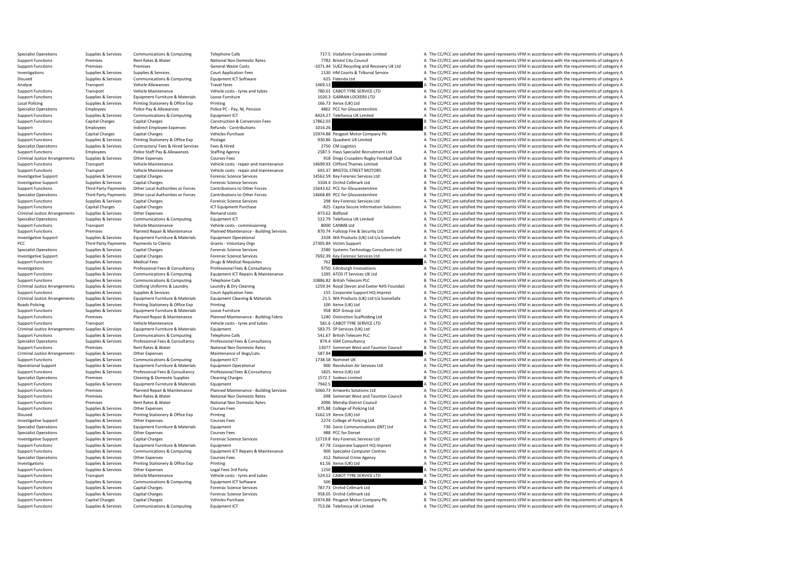| <b>Specialist Operations</b>         | Supplies & Services    | Communications & Computing         | <b>Telephone Calls</b>                    | 717.5 Vodafone Corporate Limited            | A The CC/PCC are satisfied the spend represents VFM in accordance with the requirements of category A |
|--------------------------------------|------------------------|------------------------------------|-------------------------------------------|---------------------------------------------|-------------------------------------------------------------------------------------------------------|
| <b>Support Functions</b>             | Premises               | Rent Rates & Water                 | National Non Domestic Rates               | 7782 Bristol City Council                   | A The CC/PCC are satisfied the spend represents VFM in accordance with the requirements of category A |
| <b>Support Functions</b>             | Premises               | Premises                           | General Waste Costs                       | -1071.44 SUEZ Recycling and Recovery UK Ltd | A The CC/PCC are satisfied the spend represents VFM in accordance with the requirements of category A |
| Investigations                       | Supplies & Services    | Supplies & Services                | <b>Court Application Fees</b>             | 1130 HM Courts & Tribunal Service           | A The CC/PCC are satisfied the spend represents VFM in accordance with the requirements of category A |
| Disused                              | Supplies & Services    | Communications & Computing         | Equipment ICT Software                    | 625 Fidenda Ltd                             | A The CC/PCC are satisfied the spend represents VFM in accordance with the requirements of category A |
|                                      | Transport              | Vehicle Allowances                 | <b>Travel fares</b>                       | 1469.13                                     | A The CC/PCC are satisfied the spend represents VFM in accordance with the requirements of category A |
| Analyse                              |                        |                                    |                                           |                                             |                                                                                                       |
| <b>Support Functions</b>             | Transport              | Vehicle Maintenance                | Vehicle costs - tyres and tubes           | 780.01 CABOT TYRE SERVICE LTD               | A The CC/PCC are satisfied the spend represents VFM in accordance with the requirements of category A |
| <b>Support Functions</b>             | Supplies & Services    | Equipment Furniture & Materials    | Loose Furniture                           | 1020.3 GARRAN LOCKERS LTD                   | A The CC/PCC are satisfied the spend represents VFM in accordance with the requirements of category A |
| <b>Local Policing</b>                | Supplies & Services    | Printing Stationery & Office Exp   | Printing                                  | 166.73 Xerox (UK) Ltd                       | A The CC/PCC are satisfied the spend represents VFM in accordance with the requirements of category A |
| <b>Specialist Operations</b>         | Employees              | Police Pay & Allowances            | Police PC - Pay, NI, Pension              | 4862 PCC for Gloucestershire                | A The CC/PCC are satisfied the spend represents VFM in accordance with the requirements of category A |
| <b>Support Functions</b>             | Supplies & Services    | Communications & Computing         | Equipment ICT                             | 8424.27 Telefonica UK Limited               | A The CC/PCC are satisfied the spend represents VFM in accordance with the requirements of category A |
| <b>Support Functions</b>             | <b>Capital Charges</b> | Capital Charges                    | <b>Construction &amp; Conversion Fees</b> | 17862.03                                    | B The CC/PCC are satisfied the spend represents VFM in accordance with the requirements of category B |
| Support                              | Employees              | Indirect Employee Expenses         | Refunds - Contributions                   | 1016.26                                     | A The CC/PCC are satisfied the spend represents VFM in accordance with the requirements of category A |
| <b>Support Functions</b>             | <b>Capital Charges</b> | <b>Capital Charges</b>             | Vehicles Purchase                         |                                             | B The CC/PCC are satisfied the spend represents VFM in accordance with the requirements of category B |
|                                      |                        |                                    |                                           | 15974.88 Peugeot Motor Company Plc          |                                                                                                       |
| <b>Support Functions</b>             | Supplies & Services    | Printing Stationery & Office Exp   | Postage                                   | 930.86 Quadient UK Limited                  | A The CC/PCC are satisfied the spend represents VFM in accordance with the requirements of category A |
| <b>Specialist Operations</b>         | Supplies & Services    | Contractors/ Fees & Hired Services | Fees & Hired                              | 2750 CM Logistics                           | A The CC/PCC are satisfied the spend represents VFM in accordance with the requirements of category A |
| <b>Support Functions</b>             | Employees              | Police Staff Pay & Allowances      | <b>Staffing Agency</b>                    | 2587.5 Hays Specialist Recruitment Ltd      | A The CC/PCC are satisfied the spend represents VFM in accordance with the requirements of category A |
| <b>Criminal Justice Arrangements</b> | Supplies & Services    | Other Expenses                     | <b>Courses Fees</b>                       | 918 Dings Crusaders Rugby Football Club     | A The CC/PCC are satisfied the spend represents VFM in accordance with the requirements of category A |
| <b>Support Functions</b>             | Transport              | Vehicle Maintenance                | Vehicle costs - repair and maintenance    | 14699.93 Clifford Thames Limited            | B The CC/PCC are satisfied the spend represents VFM in accordance with the requirements of category B |
| <b>Support Functions</b>             | Transport              | Vehicle Maintenance                | Vehicle costs - repair and maintenance    | 693.37 BRISTOL STREET MOTORS                | A The CC/PCC are satisfied the spend represents VFM in accordance with the requirements of category A |
| <b>Investigative Support</b>         | Supplies & Services    | <b>Capital Charges</b>             | <b>Forensic Science Services</b>          | 14562.59 Key Forensic Services Ltd          | B The CC/PCC are satisfied the spend represents VFM in accordance with the requirements of category B |
|                                      |                        |                                    |                                           |                                             |                                                                                                       |
| <b>Investigative Support</b>         | Supplies & Services    | <b>Capital Charges</b>             | <b>Forensic Science Services</b>          | 3104.4 Orchid Cellmark Ltd                  | A The CC/PCC are satisfied the spend represents VFM in accordance with the requirements of category A |
| <b>Support Functions</b>             | Third Party Payments   | Other Local Authorities or Forces  | Contributions to Other Forces             | 15643.62 PCC for Gloucestershire            | B The CC/PCC are satisfied the spend represents VFM in accordance with the requirements of category B |
| <b>Specialist Operations</b>         | Third Party Payments   | Other Local Authorities or Forces  | Contributions to Other Forces             | 14668.89 PCC for Gloucestershire            | B The CC/PCC are satisfied the spend represents VFM in accordance with the requirements of category B |
| <b>Support Functions</b>             | Supplies & Services    | <b>Capital Charges</b>             | <b>Forensic Science Services</b>          | 298 Key Forensic Services Ltd               | A The CC/PCC are satisfied the spend represents VFM in accordance with the requirements of category A |
| <b>Support Functions</b>             | <b>Capital Charges</b> | <b>Capital Charges</b>             | ICT Equipment Purchase                    | -825 Capita Secure Information Solutions    | A The CC/PCC are satisfied the spend represents VFM in accordance with the requirements of category A |
| <b>Criminal Justice Arrangements</b> | Supplies & Services    | Other Expenses                     | Remand costs                              | 873.62 Bidfood                              | A The CC/PCC are satisfied the spend represents VFM in accordance with the requirements of category A |
|                                      |                        |                                    |                                           |                                             |                                                                                                       |
| <b>Specialist Operations</b>         | Supplies & Services    | Communications & Computing         | Equipment ICT                             | 522.79 Telefonica UK Limited                | A The CC/PCC are satisfied the spend represents VFM in accordance with the requirements of category A |
| <b>Support Functions</b>             | Transport              | Vehicle Maintenance                | Vehicle costs - commissioning             | 8000 CANM8 Ltd                              | A The CC/PCC are satisfied the spend represents VFM in accordance with the requirements of category A |
| <b>Support Functions</b>             | Premises               | Planned Repair & Maintenance       | Planned Maintenance - Building Services   | 870.74 Fullstop Fire & Security Ltd         | A The CC/PCC are satisfied the spend represents VFM in accordance with the requirements of category A |
| <b>Investigative Support</b>         | Supplies & Services    | Equipment Furniture & Materials    | <b>Equipment Operational</b>              | 3328 WA Products (UK) Ltd t/a SceneSafe     | A The CC/PCC are satisfied the spend represents VFM in accordance with the requirements of category A |
| PCC                                  | Third Party Payments   | Payments to Clients                | <b>Grants - Voluntary Orgs</b>            | 27305.84 Victim Support                     | B The CC/PCC are satisfied the spend represents VFM in accordance with the requirements of category B |
| <b>Specialist Operations</b>         | Supplies & Services    | <b>Capital Charges</b>             | <b>Forensic Science Services</b>          | 2580 Systems Technology Consultants Ltd     | A The CC/PCC are satisfied the spend represents VFM in accordance with the requirements of category A |
|                                      |                        |                                    |                                           |                                             |                                                                                                       |
| <b>Investigative Support</b>         | Supplies & Services    | <b>Capital Charges</b>             | <b>Forensic Science Services</b>          | 7692.39 Key Forensic Services Ltd           | A The CC/PCC are satisfied the spend represents VFM in accordance with the requirements of category A |
| <b>Support Functions</b>             | Supplies & Services    | <b>Medical Fees</b>                | Drugs & Medical Requisites                | 762                                         | A The CC/PCC are satisfied the spend represents VFM in accordance with the requirements of category A |
| Investigations                       | Supplies & Services    | Professional Fees & Consultancy    | Professional Fees & Consultancy           | 9750 Edinburgh Innovations                  | A The CC/PCC are satisfied the spend represents VFM in accordance with the requirements of category A |
| <b>Support Functions</b>             | Supplies & Services    | Communications & Computing         | Equipment ICT Repairs & Maintenance       | 1395 ATOS IT Services UK Ltd                | A The CC/PCC are satisfied the spend represents VFM in accordance with the requirements of category A |
| <b>Support Functions</b>             | Supplies & Services    | Communications & Computing         | <b>Telephone Calls</b>                    | 10886.82 British Telecom PLC                | B The CC/PCC are satisfied the spend represents VFM in accordance with the requirements of category B |
| <b>Criminal Justice Arrangements</b> | Supplies & Services    | Clothing Uniforms & Laundry        | Laundry & Dry Cleaning                    | 1259.34 Royal Devon and Exeter NHS Foundati | A The CC/PCC are satisfied the spend represents VFM in accordance with the requirements of category A |
| <b>Support Functions</b>             | Supplies & Services    | Supplies & Services                | <b>Court Application Fees</b>             | 155 Corporate Support HQ Imprest            | A The CC/PCC are satisfied the spend represents VFM in accordance with the requirements of category A |
| <b>Criminal Justice Arrangements</b> | Supplies & Services    | Equipment Furniture & Materials    | <b>Equipment Cleaning &amp; Materials</b> | 21.5 WA Products (UK) Ltd t/a SceneSafe     | A The CC/PCC are satisfied the spend represents VFM in accordance with the requirements of category A |
|                                      |                        |                                    |                                           |                                             |                                                                                                       |
| <b>Roads Policing</b>                | Supplies & Services    | Printing Stationery & Office Exp   | Printing                                  | 100 Xerox (UK) Ltd                          | A The CC/PCC are satisfied the spend represents VFM in accordance with the requirements of category A |
| <b>Support Functions</b>             | Supplies & Services    | Equipment Furniture & Materials    | Loose Furniture                           | 958 BOF Group Ltd                           | A The CC/PCC are satisfied the spend represents VFM in accordance with the requirements of category A |
| <b>Support Functions</b>             | Premises               | Planned Repair & Maintenance       | Planned Maintenance - Building Fabric     | 1240 Distinction Scaffolding Ltd            | A The CC/PCC are satisfied the spend represents VFM in accordance with the requirements of category A |
| <b>Support Functions</b>             | Transport              | Vehicle Maintenance                | Vehicle costs - tyres and tubes           | 581.6 CABOT TYRE SERVICE LTD                | A The CC/PCC are satisfied the spend represents VFM in accordance with the requirements of category A |
| <b>Criminal Justice Arrangements</b> | Supplies & Services    | Equipment Furniture & Materials    | Equipment                                 | 583.75 SP Services (UK) Ltd                 | A The CC/PCC are satisfied the spend represents VFM in accordance with the requirements of category A |
| <b>Support Functions</b>             | Supplies & Services    | Communications & Computing         | <b>Telephone Calls</b>                    | 541.67 British Telecom PLC                  | A The CC/PCC are satisfied the spend represents VFM in accordance with the requirements of category A |
| <b>Specialist Operations</b>         | Supplies & Services    | Professional Fees & Consultancy    | Professional Fees & Consultancy           | 874.4 IGM Consultancy                       | A The CC/PCC are satisfied the spend represents VFM in accordance with the requirements of category A |
|                                      |                        |                                    |                                           |                                             |                                                                                                       |
| <b>Support Functions</b>             | Premises               | Rent Rates & Water                 | National Non Domestic Rates               | 13077 Somerset West and Taunton Council     | B The CC/PCC are satisfied the spend represents VFM in accordance with the requirements of category B |
| <b>Criminal Justice Arrangements</b> | Supplies & Services    | Other Expenses                     | Maintenance of dogs/cats                  | 587.94                                      | A The CC/PCC are satisfied the spend represents VFM in accordance with the requirements of category A |
| <b>Support Functions</b>             | Supplies & Services    | Communications & Computing         | Equipment ICT                             | 1738.58 Nominet UK                          | A The CC/PCC are satisfied the spend represents VFM in accordance with the requirements of category A |
| Operational Support                  | Supplies & Services    | Equipment Furniture & Materials    | <b>Equipment Operational</b>              | 900 Revolution Air Services Ltd             | A The CC/PCC are satisfied the spend represents VFM in accordance with the requirements of category A |
| <b>Support Functions</b>             | Supplies & Services    | Professional Fees & Consultancy    | Professional Fees & Consultancy           | 1825 Xerox (UK) Ltd                         | A The CC/PCC are satisfied the spend represents VFM in accordance with the requirements of category A |
| <b>Specialist Operations</b>         | Premises               | Cleaning & Domestic Supplies       | <b>Cleaning Charges</b>                   | 1572.7 Sodexo Limited                       | B The CC/PCC are satisfied the spend represents VFM in accordance with the requirements of category B |
| <b>Support Functions</b>             | Supplies & Services    | Equipment Furniture & Materials    | Equipment                                 | 7942.5                                      | A The CC/PCC are satisfied the spend represents VFM in accordance with the requirements of category A |
|                                      |                        |                                    |                                           |                                             |                                                                                                       |
| <b>Support Functions</b>             | Premises               | Planned Repair & Maintenance       | Planned Maintenance - Building Services   | 5060.73 Artworks Solutions Ltd              | A The CC/PCC are satisfied the spend represents VFM in accordance with the requirements of category A |
| <b>Support Functions</b>             | Premises               | Rent Rates & Water                 | National Non Domestic Rates               | 698 Somerset West and Taunton Council       | A The CC/PCC are satisfied the spend represents VFM in accordance with the requirements of category A |
| <b>Support Functions</b>             | Premises               | Rent Rates & Water                 | <b>National Non Domestic Rates</b>        | 2096 Mendip District Council                | A The CC/PCC are satisfied the spend represents VFM in accordance with the requirements of category A |
| <b>Support Functions</b>             | Supplies & Services    | Other Expenses                     | <b>Courses Fees</b>                       | 875.88 College of Policing Ltd              | A The CC/PCC are satisfied the spend represents VFM in accordance with the requirements of category A |
| Disused                              | Supplies & Services    | Printing Stationery & Office Exp   | Printing                                  | 3162.19 Xerox (UK) Ltd                      | A The CC/PCC are satisfied the spend represents VFM in accordance with the requirements of category A |
| <b>Investigative Support</b>         | Supplies & Services    | Other Expenses                     | <b>Courses Fees</b>                       | 2274 College of Policing Ltd                | A The CC/PCC are satisfied the spend represents VFM in accordance with the requirements of category A |
|                                      |                        | Equipment Furniture & Materials    |                                           | 730 Sonic Communications (INT) Ltd          |                                                                                                       |
| <b>Specialist Operations</b>         | Supplies & Services    |                                    | Equipment                                 |                                             | A The CC/PCC are satisfied the spend represents VFM in accordance with the requirements of category A |
| <b>Specialist Operations</b>         | Supplies & Services    | Other Expenses                     | <b>Courses Fees</b>                       | 988 PCC for Dorset                          | A The CC/PCC are satisfied the spend represents VFM in accordance with the requirements of category A |
| <b>Investigative Support</b>         | Supplies & Services    | <b>Capital Charges</b>             | <b>Forensic Science Services</b>          | 12719.8 Key Forensic Services Ltd           | B The CC/PCC are satisfied the spend represents VFM in accordance with the requirements of category B |
| <b>Support Functions</b>             | Supplies & Services    | Equipment Furniture & Materials    | Equipment                                 | 47.78 Corporate Support HQ Imprest          | A The CC/PCC are satisfied the spend represents VFM in accordance with the requirements of category A |
| <b>Support Functions</b>             | Supplies & Services    | Communications & Computing         | Equipment ICT Repairs & Maintenance       | 900 Specialist Computer Centres             | A The CC/PCC are satisfied the spend represents VFM in accordance with the requirements of category A |
| <b>Specialist Operations</b>         |                        |                                    | <b>Courses Fees</b>                       | 412 National Crime Agency                   | A The CC/PCC are satisfied the spend represents VFM in accordance with the requirements of category A |
|                                      |                        |                                    |                                           |                                             |                                                                                                       |
|                                      | Supplies & Services    | Other Expenses                     |                                           |                                             |                                                                                                       |
| Investigations                       | Supplies & Services    | Printing Stationery & Office Exp   | Printing                                  | 61.56 Xerox (UK) Ltd                        | A The CC/PCC are satisfied the spend represents VFM in accordance with the requirements of category A |
| <b>Support Functions</b>             | Supplies & Services    | Other Expenses                     | Legal Fees 3rd Party                      | 1250                                        | A The CC/PCC are satisfied the spend represents VFM in accordance with the requirements of category A |
| <b>Support Functions</b>             | Transport              | Vehicle Maintenance                | Vehicle costs - tyres and tubes           | 524.52 CABOT TYRE SERVICE LTD               | A The CC/PCC are satisfied the spend represents VFM in accordance with the requirements of category A |
| <b>Support Functions</b>             | Supplies & Services    | Communications & Computing         | Equipment ICT Software                    | 500                                         | A The CC/PCC are satisfied the spend represents VFM in accordance with the requirements of category A |
| <b>Support Functions</b>             | Supplies & Services    | <b>Capital Charges</b>             | <b>Forensic Science Services</b>          | 787.73 Orchid Cellmark Ltd                  | A The CC/PCC are satisfied the spend represents VFM in accordance with the requirements of category A |
| <b>Support Functions</b>             | Supplies & Services    | <b>Capital Charges</b>             | <b>Forensic Science Services</b>          | 958.05 Orchid Cellmark Ltd                  | A The CC/PCC are satisfied the spend represents VFM in accordance with the requirements of category A |
| <b>Support Functions</b>             | Capital Charges        | Capital Charges                    | <b>Vehicles Purchase</b>                  | 15974.88 Peugeot Motor Company Plc          | B The CC/PCC are satisfied the spend represents VFM in accordance with the requirements of category B |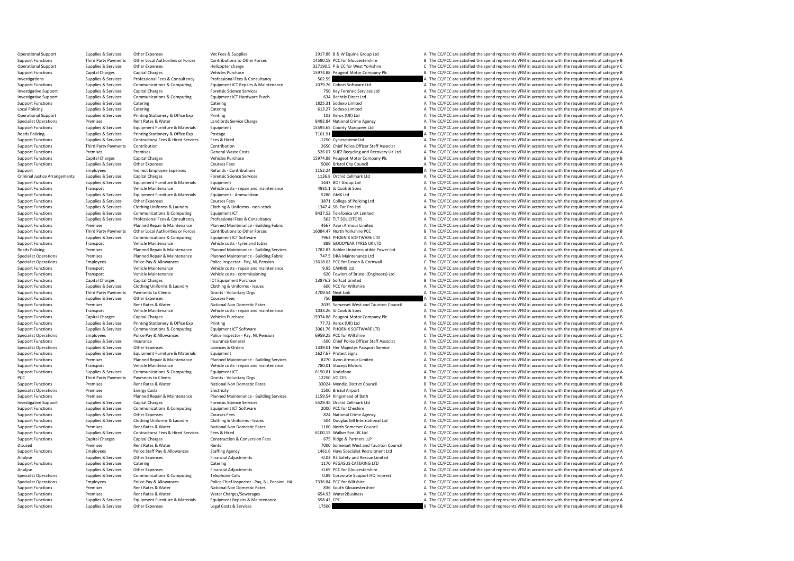Operational Support Supplies & Services Other Expenses Vet Fees & Supplies Vet Fees & Supplies 2917.86 B & W Equine Group Ltd A The CC/PCC are satisfied the spend represents VFM in accordance with the requirements of categ Support Functions Third Party Payments Other Local Authorities or Forces Contributions to Other Forces 14590.18 PCC for Gloucestershire B The CC/PCC are satisfied the spend represents VFM in accordance with the requirement Operational Support Supplies & Services Other Expenses Helicopter charge Helicopter charge 327190.5 P & CC for West Yorkshire C The CC/PCC are satisfied the spend represents VFM in accordance with the requirements of categ Capital Charges Capital Charges Vehicles Purchase 15974.88 Peugeot Motor Company Plc B The CC/PCC are satisfied the spend represents VFM in accordance with the requirements of category B<br>Supplies & Services Professional Fr Investigations Supplies & Services Professional Fees & Consultancy Professional Fees & Consultancy Professional Fees & Consultancy Professional Fees & Consultancy Supplies & Services Professional Fees & Consultancy Profess Support Functions Supplies & Services Communications & Computing Equipment ICT Repairs & Maintenance 2009.76 Cobort Software Ltd A The CC/PCC are satisfied the spend represents VFM in accordance with the requirements of ca Investigative Support Supplies & Services Capital Charges Forensic Science Services Forensic Science Services Forensic Science Services 750 Key Forensic Services Ltd A The CC/PCC are satisfied the spend represents VFM in a Investigative Support Support Support Supplies & Services Communications & Computing Equipment ICT Hardware Purch 634 Bechtle Direct Ltd A The CC/PCC are satisfied the spend represents VFM in accordance with the requiremen Support Functions Supplies & Services Catering Catering 1825.31 Sodexo Limited A The CC/PCC are satisfied the spend represents VFM in accordance with the requirements of category A Local Policing Catering Catering Catering Catering Catering Catering Catering Catering Catering Catering Catering Catering 613.27 Sodexo Limited A The CC/PCC are satisfied the spend represents VFM in accordance with the re Operational Support Supplies & Services Printing Stationery & Office Exp Printing Printing Printing Printing Printing Printing Printing 102 Xerox (UK) Ltd A The CC/PCC are satisfied the spend represents VFM in accordance w Specialist Operations Premises Premises Rent Rates & Water Landlords Service Charge 2012.84 National Crime Agency A The CC/PCC are satisfied the spend represents VFM in accordance with the requirements of category B<br>Suppli Support Functions Supplies & Services Equipment Furniture & Materials Equipment 1559.65 County Marquees Ltd B The CC/PCC are satisfied the spend represents VFM in accordance with the requirements of category B Radis Politi Roads Policing Supplies & Supplies & Services Printing Stationery & Office Exp Postage Printing Stationery A The CO/PCC are satisfied the spend represents VFM in accordance with the requirements of category A Supplies & Se Support Functions Supplies & Services Contractors/ Fees & Hired Services Fees & Hired Hired -1250 Cyclescheme Ltd A The CC/PCC are satisfied the spend represents VFM in accordance with the requirements of category A Contri Contribution<br>Contribution Contribution Contribution Contribution Contribution Contribution Contribution Contribution Contri<br>General Waste Costs Contribution Contribution 256.07 SUEZ Recycline and Recovery UK Ltd A The CC/P Support Functions Premises Premises Premises Premises Support Costs 526.07 SUEZ Recycling and Recovery UK Ltd A The CC/PCC are satisfied the spend represents VFM in accordance with the requirements of category A The CC/PC Support Functions Capital Charges Capital Charges Vehicles Purchase Vehicles Purchase 15974.88 Peugeot Motor Company Plc B The CC/PCC are satisfied the spend represents VFM in accordance with the requirements of category B Other Expenses Courses Fees Courses Fees 5000 Bristol City Council A The CC/PCC are satisfied the spend represents VFM in accordance with the requirements of category A The CC/PC are satisfied the spend represents VFM in a Support Employees Indirect Employee Expenses Refunds - Contributions 1152.24 A The CC/PCC are satisfied the spend represents VFM in accordance with the requirements of category A Criminal lustice Arrangements Supporters Ca Criminal Justice Arrangements Supplies & Services Capital Charges Forensic Science Services Forensic Science Services Forensic Science Services 1136.8 Orchid Cellmark Ltd A The CC/PCC are satisfied the spend represents VFM Support Functions Supplies & Services Equipment Furniture & Materials Equipment Equipment Equipment 1647 BOF Group Ltd A The CC/PCC are satisfied the spend represents VFM in accordance with the requirements of category A V Support Functions Transport Vehicle Maintenance Vehicle Costs - repair and maintenance 4931.1 SJ Cook & Sons A The CC/PCC are satisfied the spend represents VFM in accordance with the requirements of category A Support Fun Support Functions Supplies & Services Equipment Furniture & Materials Equipment - Ammunition 5280 GMK Ltd A The CC/PCC are satisfied the spend represents VFM in accordance with the requirements of category A The Cripment S Support Functions Supplies & Services Other Expenses Support Foundations Courses Fees Support Functions and Courses Fees 3871 College of Policing Ltd A The CC/PCC are satisfied the spend represents VFM in accordance with t Support Functions Supplies & Services Clothing Uniforms & Laundry Clothing & Uniforms - non-stock 1347.4 SBI Tac Pro Ltd A The CC/PCC are satisfied the spend represents VFM in accordance with the requirements of category A Supplies & Services Communications & Computing Equipment ICT Support Functions and the Services Computing Equipment ICT Support Functions and the Services Consultance A The CC/PCC are satisfied the spend represents VFM in Support Functions Support Supplies & Services Professional Fees & Consultancy Professional Fees & Consultancy Professional Fees & Consultancy 3 SA TLT SOLICITORS A The CC/PCC are satisfied the spend represents VFM in accor Support Functions Premises Planned Repair & Maintenance Planned Maintenance - Building Fabric 4667 Avon Armour Limited A The CC/PCC are satisfied the spend represents VFM in accordance with the requirements of category A S Support Functions Third Party Payments Other Local Authorities or Forces Contributions to Other Forces 16084.47 North Yorkshire PCC MECAN BE The CC/PCC are satisfied the spend represents VFM in accordance with the requirem Communications & Computing Equipment ICT Software 7963 PHOENIX SOFTWARE LTD A The CC/PCC are satisfied the spend represents VFM in accordance with the requirements of category A Vehicle rots - tyres and tubes 7963 PHOENIX Support Functions Transport Vehicle Maintenance Vehicle costs - tyres and tubes 889 GOODYEAR TYRES UK LTD A The CC/PCC are satisfied the spend represents VFM in accordance with the requirements of category A Ranach Parking Remises Premises Planned Repair & Maintenance Planned Maintenance-Building Services 1782.83 Kohler Uninterruptible Power Ltd A The CC/PCC are satisfied the spend represents VFM in accordance with the requirements of catego Specialist Operations Premises Premises Planned Repair & Maintenance Pulnned Maintenance Building Fabric 747.5 DRA Maintenance Ltd The CC/PCC are satisfied the spend represents VFM in accordance with the requirements of ca Police Inspector - Pay, NI, Pension<br>
Police Inspector - Pay, NI, Pension<br>
Vehicle costs - renair and maintenance<br>
Vehicle costs - renair and maintenance<br>
995 CANMA I td = CONT Care satisfied the spend represents VEM in acc Support Functions Transport Vehicle Maintenance Vehicle Costs - repair and maintenance 9.95 CANM8 Ltd A The CC/PCC are satisfied the spend represents VFM in accordance with the requirements of category A Vehicle costs - co Support Functions Transport Vehicle Maintenance Vehicle costs - commissioning 620 Fowlers of Bristol (Engineers) Ltd A The CC/PCC are satisfied the spend represents VFM in accordance with the requirements of category A CT Support Functions Capital Charges Capital Charges Capital Charges ICT Equipment Purchase ICT Equipment Purchase 13876.2 Softcat Limited B The CC/PCC are satisfied the spend represents VFM in accordance with the requirement Support Functions Support Functions Clothing & Uniforms - Issues 600 PCC for Wiltshire 600 PC for Wiltshire A The CC/PCC are satisfied the spend represents VFM in accordance with the requirements of category A The Crime an Support Functions Third Party Payments of Payments of Clients Grants Violuntary Orgs Grants Grants Grants Cranto<br>Grants Courses Courses Courses Courses Courses Courses Courses and Courses and The COPC are satisfied the spe Support Functions Supplies & Services Other Expenses Courses Fees Courses Fees 750 750 A The CC/PCC are satisfied the spend represents VFM in accordance with the requirements of category A Support Functions are premises Re Support Functions Premises Article Council A The CC/PCC are satisfied the spend represents VFM in accordance with the requirements of category A The CC/PC are satisfied the spend represents VFM in accordance with the requi Support Functions Transport Vehicle Wehicle Maintenance Vehicle costs - repair and maintenance 1033.26 SJ Cook & Sons A The CC/PCC are satisfied the spend represents VFM in accordance with the requirements of category A Th Support Functions Capital Charges Capital Charges Vehicles Purchase Vehicles Purchase 15974.88 Peugeot Motor Company Plc B The CC/PCC are satisfied the spend represents VFM in accordance with the requirements of category B Support Functions Supplies & Services Printing Stationery & Office Exp Printing Printing Printing Printing Printing Printing Printing 77.72 Xerox (UK) Ltd A The CC/PCC are satisfied the spend represents VFM in accordance w Support Functions Supplies & Services Communications & Computing Equipment ICT Software 3061.76 PHOENIX SOFTWARE LTD A The CC/PCC are satisfied the spend represents VFM in accordance with the requirements of category A Per Specialist Operations Employees Police Pay & Allowances Police Inspector - Pay, NI, Pension 6959.25 PCC for Wiltshire C The CC/PCC are satisfied the spend represents VFM in accordance with the requirements of category C In Support Functions Supplies & Services Insurance Insurance Seneral -500 Chief Police Officer Staff Associat A The CC/PCC are satisfied the spend represents VFM in accordance with the requirements of category A Specialist Op Specialist Operations Supplies & Services Other Expenses Licences & Orders Licences & Orders 1339.01 Her Majestys Passport Service A The CC/PCC are satisfied the spend represents VFM in accordance with the requirements of A The CC/PCC are satisfied the spend represents VFM in accordance with the requirements of category A Support Functions Premises Planned Repair & Maintenance Planned Maintenance - Building Services 8270 Avon Armour Limited A The CC/PCC are satisfied the spend represents VFM in accordance with the requirements of category A Support Functions Transport Vehicle Maintenance Vehicle costs - repair and maintenance 780.01 Staceys Motors A The CC/PCC are satisfied the spend represents VFM in accordance with the requirements of category A Support Fun A The CC/PCC are satisfied the spend represents VFM in accordance with the requirements of category A PCC Third Party Payments of Payments of Clients Grants - Voluntary Orgs 12250 VOICES 2020 VOICES B The CC/PCC are satisfied the spend represents VFM in accordance with the requirements of category B Strate and the requirem Support Functions Premises Rent Rates & Water National Non Domestic Rates 33024 Mendip District Council B The CC/PCC are satisfied the spend represents VFM in accordance with the requirements of category B Electricty Elect Specialist Operations Premises Energy Costs Energy Costs Electricity Electricity Electricity Electricity 1500 Bristol Airport A The CC/PCC are satisfied the spend represents VFM in accordance with the requirements of categ Support Functions Premises Planned Repair & Maintenance Planned Maintenance - Building Services 1159.54 Kingsmead of Bath A The CC/PCC are satisfied the spend represents VFM in accordance with the requirements of category Investigative Support Supplies & Services Capital Charges Forensic Science Services Forensic Science Services 5529.45 Orchid Cellmark Ltd A The CC/PCC are satisfied the spend represents VFM in accordance with the requireme Support Functions Supplies & Services Communications & Computing Equipment ICT Software 2000 PCC for Cheshire 2000 PCC for Cheshire A The CC/PCC are satisfied the spend represents VFM in accordance with the requirements of Support Functions Supplies & Services Other Expenses Courses Courses Fees Courses Courses Courses Courses Courses Courses Courses Courses Courses Courses Courses Courses Courses Courses Courses Courses Support Courses and A The CC/PCC are satisfied the spend represents VFM in accordance with the requirements of category A Support Functions Premises Rent Rates & Water National Non Domestic Rates 1160 North Somerset Council A The CC/PCC are satisfied the spend represents VFM in accordance with the requirements of category A Support Functions Supplies & Services Contractors/ Fees & Hired Services Fees & Hired Hired Media and Services Fees & Hired A The CC/PCC are satisfied the spend represents VFM in accordance with the requirements of categor Support Functions Cupport Functions Capital Charges Capital Charges Construction Construction A The CC/PCC are satisfied the spend represents VFM in accordance with the requirements of category A The CC/PCC are satisfied t Disused Premises Premises Rent Rates & Water Rents Rents Rents Rents Rents Rents 7000 Somerset West and Taunton Council A The CC/PCC are satisfied the spend represents VFM in accordance with the requirements of category A Support Functions Functions Functions Police Staff Pay & Allowances Staffing Agency 1461.6 Hays Specialist Recruitment Ltd A The CC/PCC are satisfied the spend represents VFM in accordance with the requirements of category Analyse Supplies & Services Other Expenses Financial Adjustments Financial Adjustments -0.03 R3 Safety and Rescue Limited A The CC/PCC are satisfied the spend represents VFM in accordance with the requirements of category Support Functions Supplies & Services Catering Catering Catering Catering Catering Catering Catering Catering Catering 1170 PEGASUS CATERING LTD A The CC/PCC are satisfied the spend represents VFM in accordance with the re Analyse Supplies & Services Other Expenses Financial Adjustments -0.69 PCC for Gloucestershire -0.69 PC for Gloucestershire A The CC/PCC are satisfied the spend represents VFM in accordance with the requirements of categor Specialist Operations Operations A The CC/PCC are satisfied the spend represents VFM in accordance with the requirements of category A The CC/PCC are satisfied the spend represents VFM in accordance with the requirements o Specialist Operations Employees Police Pay & Allowances Police Chief Inspector - Pay, NJ, Pension, HA 7336.84 PCC for Wiltshire Chief Chief Chief Chief Chief Chief Chief Chief Chief Chief Chief Chief Chief Chief Chief Chie A The CC/PCC are satisfied the spend represents VFM in accordance with the requirements of category A Support Functions Premises Rent Rates & Water Water Charges/Sewerages A The Charges/Severages A The CC/PCC are satisfied the spend represents VFM in accordance with the requirements of category A The CC/PCC are satisfied t Support Functions Supplies & Services Equipment Furniture & Materials Equipment Repairs & Maintenance 558.42 CPC STAN CONNECTION A The CC/PCC are satisfied the spend represents VFM in accordance with the requirements of ca Functions Supplies The COV Costs Art Functions Costs Art Functions Supplies The Services Costs 2000 B The CC/PCC are satisfied the spend represents VFM in accordance with the requirements of category B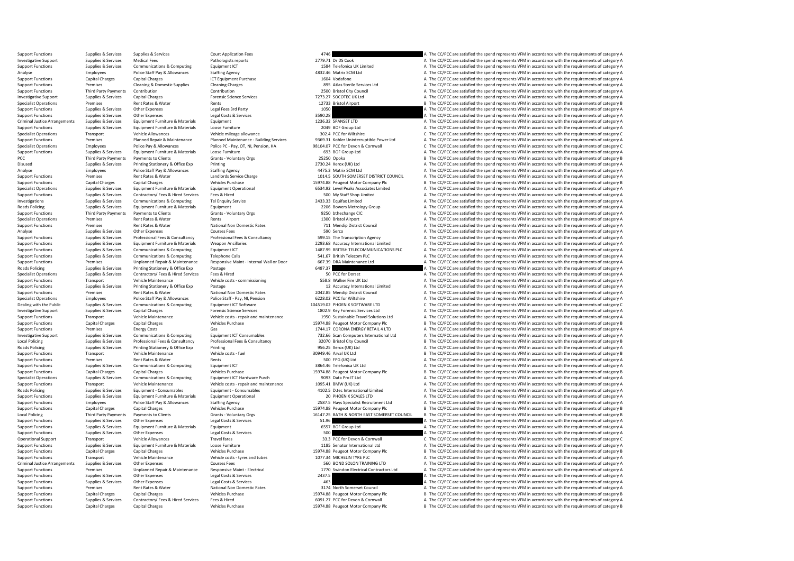| <b>Support Functions</b>             | Supplies & Services         | Supplies & Services                     | <b>Court Application Fees</b>            | 4746                                        | A The CC/PCC are satisfied the spend represents VFM in accordance with the requirements of category A |
|--------------------------------------|-----------------------------|-----------------------------------------|------------------------------------------|---------------------------------------------|-------------------------------------------------------------------------------------------------------|
| <b>Investigative Support</b>         | Supplies & Services         | <b>Medical Fees</b>                     | Pathologists reports                     | 2779.71 Dr DS Cook                          | A The CC/PCC are satisfied the spend represents VFM in accordance with the requirements of category A |
| <b>Support Functions</b>             | Supplies & Services         | Communications & Computing              | Equipment ICT                            | 1584 Telefonica UK Limited                  | A The CC/PCC are satisfied the spend represents VFM in accordance with the requirements of category A |
| Analyse                              | Employees                   | Police Staff Pay & Allowances           | <b>Staffing Agency</b>                   | 4832.46 Matrix SCM Ltd                      | A The CC/PCC are satisfied the spend represents VFM in accordance with the requirements of category A |
| <b>Support Functions</b>             | <b>Capital Charges</b>      | <b>Capital Charges</b>                  | ICT Equipment Purchase                   | 1604 Vodafone                               | A The CC/PCC are satisfied the spend represents VFM in accordance with the requirements of category A |
| <b>Support Functions</b>             | Premises                    | <b>Cleaning &amp; Domestic Supplies</b> | <b>Cleaning Charges</b>                  | 895 Atlas Sterile Services Ltd              | A The CC/PCC are satisfied the spend represents VFM in accordance with the requirements of category A |
| <b>Support Functions</b>             | <b>Third Party Payments</b> | Contribution                            | Contribution                             | 2500 Bristol City Council                   | A The CC/PCC are satisfied the spend represents VFM in accordance with the requirements of category A |
| <b>Investigative Support</b>         | Supplies & Services         | Canital Charges                         | <b>Forensic Science Services</b>         | 7273.27 SOCOTEC UK Ltd                      | A The CC/PCC are satisfied the spend represents VFM in accordance with the requirements of category A |
| <b>Specialist Operations</b>         | Premises                    | Rent Rates & Water                      | Rents                                    | 12733 Bristol Airport                       | B The CC/PCC are satisfied the spend represents VFM in accordance with the requirements of category B |
| <b>Support Functions</b>             | Supplies & Services         | Other Expenses                          | Legal Fees 3rd Party                     | 1050                                        | A The CC/PCC are satisfied the spend represents VFM in accordance with the requirements of category A |
| <b>Support Functions</b>             | Supplies & Services         | Other Expenses                          | Legal Costs & Services                   | 3590.28                                     | The CC/PCC are satisfied the spend represents VFM in accordance with the requirements of category A   |
| <b>Criminal Justice Arrangements</b> | Supplies & Services         | Equipment Furniture & Materials         | Equipment                                | 1236.32 SPANSET LTD                         | A The CC/PCC are satisfied the spend represents VFM in accordance with the requirements of category A |
| <b>Support Functions</b>             | Supplies & Services         | Equipment Furniture & Materials         | Loose Furniture                          | 2049 BOF Group Ltd                          | A The CC/PCC are satisfied the spend represents VFM in accordance with the requirements of category A |
| <b>Specialist Operations</b>         | Transport                   | <b>Vehicle Allowances</b>               | Vehicle mileage allowance                | 302.4 PCC for Wiltshire                     | C The CC/PCC are satisfied the spend represents VFM in accordance with the requirements of category C |
| <b>Support Functions</b>             | Premises                    | Planned Repair & Maintenance            | Planned Maintenance - Building Services  | 9369.31 Kohler Uninterruptible Power Ltd    | A The CC/PCC are satisfied the spend represents VFM in accordance with the requirements of category A |
| <b>Specialist Operations</b>         | Employees                   | Police Pay & Allowances                 | Police PC - Pay, OT, NI, Pension, HA     | 98104.07 PCC for Devon & Cornwall           | C The CC/PCC are satisfied the spend represents VFM in accordance with the requirements of category C |
| <b>Support Functions</b>             | Supplies & Services         | Equipment Furniture & Materials         | Loose Furniture                          | 693 BOF Group Ltd                           | A The CC/PCC are satisfied the spend represents VFM in accordance with the requirements of category A |
| PCC.                                 | <b>Third Party Payments</b> | Payments to Clients                     | Grants - Voluntary Orgs                  | 25250 Opoka                                 | B The CC/PCC are satisfied the spend represents VFM in accordance with the requirements of category B |
| Disused                              | Supplies & Services         | Printing Stationery & Office Exp        | Printing                                 | 2730.24 Xerox (UK) Ltd.                     | A The CC/PCC are satisfied the spend represents VFM in accordance with the requirements of category A |
| Analyse                              | Employees                   | Police Staff Pay & Allowances           | <b>Staffing Agency</b>                   | 4475.3 Matrix SCM Ltd                       | A The CC/PCC are satisfied the spend represents VFM in accordance with the requirements of category A |
| <b>Support Functions</b>             | Premises                    | Rent Rates & Water                      | Landlords Service Charge                 | 1014.5 SOUTH SOMERSET DISTRICT COUNCIL      | A The CC/PCC are satisfied the spend represents VFM in accordance with the requirements of category A |
| <b>Support Functions</b>             | <b>Capital Charges</b>      | <b>Canital Charges</b>                  | <b>Vehicles Purchase</b>                 | 15974.88 Peugeot Motor Company Plc          | B The CC/PCC are satisfied the spend represents VFM in accordance with the requirements of category B |
| <b>Specialist Operations</b>         | Supplies & Services         | Equipment Furniture & Materials         | <b>Equipment Operational</b>             | 6534.92 Level Peaks Associates Limited      | A The CC/PCC are satisfied the spend represents VFM in accordance with the requirements of category A |
| <b>Support Functions</b>             | Supplies & Services         | Contractors/ Fees & Hired Services      | Fees & Hired                             | 500 My Staff Shop Limited                   | A The CC/PCC are satisfied the spend represents VFM in accordance with the requirements of category A |
| Investigations                       | Supplies & Services         | Communications & Computing              | <b>Tel Enquiry Service</b>               | 2433.33 Equifax Limited                     | A The CC/PCC are satisfied the spend represents VFM in accordance with the requirements of category A |
| <b>Roads Policing</b>                | Supplies & Services         | Equipment Furniture & Materials         | Equipment                                | 2206 Bowers Metrology Group                 | A The CC/PCC are satisfied the spend represents VFM in accordance with the requirements of category A |
| <b>Support Functions</b>             | <b>Third Party Payments</b> | Payments to Clients                     | Grants - Voluntary Orgs                  | 9250 bthechange CIC                         | A The CC/PCC are satisfied the spend represents VFM in accordance with the requirements of category A |
| <b>Specialist Operations</b>         | Premises                    | Rent Rates & Water                      | Rents                                    | 1300 Bristol Airport                        | A The CC/PCC are satisfied the spend represents VFM in accordance with the requirements of category A |
| <b>Support Functions</b>             | Premises                    | <b>Rent Rates &amp; Water</b>           | National Non Domestic Rates              | 711 Mendip District Council                 | A The CC/PCC are satisfied the spend represents VFM in accordance with the requirements of category A |
| Analyse                              | Supplies & Services         | Other Expenses                          | <b>Courses Fees</b>                      | 590 Serco                                   | A The CC/PCC are satisfied the spend represents VFM in accordance with the requirements of category A |
| <b>Support Functions</b>             | Supplies & Services         | Professional Fees & Consultancy         | Professional Fees & Consultancy          | 599.15 The Transcription Agency             | A The CC/PCC are satisfied the spend represents VFM in accordance with the requirements of category A |
| <b>Support Functions</b>             | Supplies & Services         | Equipment Furniture & Materials         | <b>Weapon Ancillaries</b>                | 2293.68 Accuracy International Limited      | A The CC/PCC are satisfied the spend represents VFM in accordance with the requirements of category A |
| <b>Support Functions</b>             | Supplies & Services         | Communications & Computing              | Equipment ICT                            | 1487.99 BRITISH TELECOMMUNICATIONS PLC      | A The CC/PCC are satisfied the spend represents VFM in accordance with the requirements of category A |
| <b>Support Functions</b>             | Supplies & Services         | <b>Communications &amp; Computing</b>   | Telephone Calls                          | 541.67 British Telecom PLC                  | A The CC/PCC are satisfied the spend represents VFM in accordance with the requirements of category A |
| <b>Support Functions</b>             | Premises                    | Unplanned Repair & Maintenance          | Responsive Maint - Internal Wall or Door | 667.39 DRA Maintenance Ltd                  | A The CC/PCC are satisfied the spend represents VFM in accordance with the requirements of category A |
| <b>Roads Policing</b>                | Supplies & Services         | Printing Stationery & Office Exp        | Postage                                  | 6487.37                                     | A The CC/PCC are satisfied the spend represents VFM in accordance with the requirements of category A |
| <b>Specialist Operations</b>         | Supplies & Services         | Contractors/ Fees & Hired Services      | Fees & Hired                             | 50 PCC for Dorset                           | A The CC/PCC are satisfied the spend represents VFM in accordance with the requirements of category A |
| <b>Support Functions</b>             | Transport                   | Vehicle Maintenance                     | Vehicle costs - commissioning            | 558.8 Walker Fire UK I td                   | A The CC/PCC are satisfied the spend represents VFM in accordance with the requirements of category A |
| <b>Support Functions</b>             | Supplies & Services         | Printing Stationery & Office Exp        | Postage                                  | 12 Accuracy International Limited           | A The CC/PCC are satisfied the spend represents VFM in accordance with the requirements of category A |
| <b>Support Functions</b>             | Premises                    | Rent Rates & Water                      | National Non Domestic Rates              | 2042.85 Mendip District Council             | A The CC/PCC are satisfied the spend represents VFM in accordance with the requirements of category A |
| <b>Specialist Operations</b>         | Employees                   | Police Staff Pay & Allowances           | Police Staff - Pay, NI, Pension          | 6228.02 PCC for Wiltshire                   | A The CC/PCC are satisfied the spend represents VFM in accordance with the requirements of category A |
| Dealing with the Public              | Supplies & Services         | Communications & Computing              | Equipment ICT Software                   | 104519.02 PHOENIX SOFTWARE LTD              | C The CC/PCC are satisfied the spend represents VFM in accordance with the requirements of category C |
| <b>Investigative Support</b>         | Supplies & Services         | <b>Capital Charges</b>                  | <b>Forensic Science Services</b>         | 1802.9 Key Forensic Services Ltd            | A The CC/PCC are satisfied the spend represents VFM in accordance with the requirements of category A |
| <b>Support Functions</b>             | Transport                   | Vehicle Maintenance                     | Vehicle costs - repair and maintenance   | 1950 Sustainable Travel Solutions Ltd       | A The CC/PCC are satisfied the spend represents VFM in accordance with the requirements of category A |
| <b>Support Functions</b>             | <b>Capital Charges</b>      | <b>Capital Charges</b>                  | <b>Vehicles Purchase</b>                 | 15974.88 Peugeot Motor Company Plc          | B The CC/PCC are satisfied the spend represents VFM in accordance with the requirements of category B |
| <b>Support Functions</b>             | Premises                    | <b>Energy Costs</b>                     | Gas                                      | 1744.17 CORONA ENERGY RETAIL 4 LTD          | A The CC/PCC are satisfied the spend represents VFM in accordance with the requirements of category A |
| <b>Investigative Support</b>         | Supplies & Services         | Communications & Computing              | <b>Equipment ICT Consumables</b>         | 732.66 Scan Computers International Ltd     | A The CC/PCC are satisfied the spend represents VFM in accordance with the requirements of category A |
| <b>Local Policing</b>                | Supplies & Services         | Professional Fees & Consultancy         | Professional Fees & Consultancy          | 32070 Bristol City Council                  | B The CC/PCC are satisfied the spend represents VFM in accordance with the requirements of category B |
| Roads Policing                       | Supplies & Services         | Printing Stationery & Office Exp        | Printing                                 | 956.25 Xerox (UK) Ltd                       | A The CC/PCC are satisfied the spend represents VFM in accordance with the requirements of category A |
| <b>Support Functions</b>             | Transport                   | Vehicle Maintenance                     | Vehicle costs - fuel                     | 30949.46 Arval UK Ltd                       | B The CC/PCC are satisfied the spend represents VFM in accordance with the requirements of category E |
| <b>Support Functions</b>             | Premises                    | Rent Rates & Water                      | Rents                                    | 500 FPG (UK) Ltd                            | A The CC/PCC are satisfied the spend represents VFM in accordance with the requirements of category A |
| <b>Support Functions</b>             | Supplies & Services         | Communications & Computing              | Equipment ICT                            | 3864.46 Telefonica UK Ltd                   | A The CC/PCC are satisfied the spend represents VFM in accordance with the requirements of category A |
| <b>Support Functions</b>             | <b>Capital Charges</b>      | <b>Capital Charges</b>                  | <b>Vehicles Purchase</b>                 | 15974.88 Peugeot Motor Company Plc          | B The CC/PCC are satisfied the spend represents VFM in accordance with the requirements of category E |
| <b>Specialist Operations</b>         | Supplies & Services         | <b>Communications &amp; Computing</b>   | Equipment ICT Hardware Purch             | 9093 Data Pro IT Ltd                        | A The CC/PCC are satisfied the spend represents VFM in accordance with the requirements of category A |
| <b>Support Functions</b>             | Transport                   | Vehicle Maintenance                     | Vehicle costs - repair and maintenance   | 1095.41 BMW (UK) Ltd                        | A The CC/PCC are satisfied the spend represents VFM in accordance with the requirements of category A |
| Roads Policing                       | Supplies & Services         | Equipment - Consumables                 | Equipment - Consumables                  | 4102.5 D.tec International Limited          | A The CC/PCC are satisfied the spend represents VFM in accordance with the requirements of category A |
| <b>Support Functions</b>             | Supplies & Services         | Equipment Furniture & Materials         | <b>Equipment Operational</b>             | 20 PHOENIX SCALES LTD                       | A The CC/PCC are satisfied the spend represents VFM in accordance with the requirements of category A |
| <b>Support Functions</b>             | Employees                   | Police Staff Pay & Allowances           | <b>Staffing Agency</b>                   | 2587.5 Hays Specialist Recruitment Ltd      | A The CC/PCC are satisfied the spend represents VFM in accordance with the requirements of category A |
| <b>Support Functions</b>             | <b>Capital Charges</b>      | <b>Capital Charges</b>                  | <b>Vehicles Purchase</b>                 | 15974.88 Peugeot Motor Company Plc          | B The CC/PCC are satisfied the spend represents VFM in accordance with the requirements of category B |
| <b>Local Policing</b>                | Third Party Payments        | Payments to Clients                     | Grants - Voluntary Orgs                  | 16147.25 BATH & NORTH EAST SOMERSET COUNCIL | B The CC/PCC are satisfied the spend represents VFM in accordance with the requirements of category E |
| <b>Support Functions</b>             | Supplies & Services         | <b>Other Expenses</b>                   | Legal Costs & Services                   | 51.96                                       | A The CC/PCC are satisfied the spend represents VFM in accordance with the requirements of category A |
| <b>Support Functions</b>             | Supplies & Services         | Equipment Furniture & Materials         | Equipment                                | 6557 BOF Group Ltd                          | A The CC/PCC are satisfied the spend represents VFM in accordance with the requirements of category A |
| <b>Support Functions</b>             | Supplies & Services         | Other Expenses                          | Legal Costs & Services                   | 500                                         | A The CC/PCC are satisfied the spend represents VFM in accordance with the requirements of category A |
| Operational Support                  | Transport                   | <b>Vehicle Allowances</b>               | <b>Travel fares</b>                      | 33.3 PCC for Devon & Cornwall               | C The CC/PCC are satisfied the spend represents VFM in accordance with the requirements of category C |
| <b>Support Functions</b>             | Supplies & Services         | Equipment Furniture & Materials         | Loose Furniture                          | 1185 Senator International Ltd              | A The CC/PCC are satisfied the spend represents VFM in accordance with the requirements of category A |
| <b>Support Functions</b>             | <b>Capital Charges</b>      | <b>Capital Charges</b>                  | <b>Vehicles Purchase</b>                 | 15974.88 Peugeot Motor Company Plc          | B The CC/PCC are satisfied the spend represents VFM in accordance with the requirements of category B |
| <b>Support Functions</b>             | Transport                   | Vehicle Maintenance                     | Vehicle costs - tyres and tubes          | 1077.34 MICHELIN TYRE PLC                   | A The CC/PCC are satisfied the spend represents VFM in accordance with the requirements of category A |
| <b>Criminal Justice Arrangements</b> | Supplies & Services         | <b>Other Expenses</b>                   | <b>Courses Fees</b>                      | 560 BOND SOLON TRAINING LTD                 | A The CC/PCC are satisfied the spend represents VFM in accordance with the requirements of category A |
| <b>Support Functions</b>             | Premises                    | Unplanned Repair & Maintenance          | Responsive Maint - Electrical            | 1770 Swindon Electrical Contractors Ltd     | A The CC/PCC are satisfied the spend represents VFM in accordance with the requirements of category A |
| <b>Support Functions</b>             | Supplies & Services         | Other Expenses                          | Legal Costs & Services                   | 2437.5                                      | A The CC/PCC are satisfied the spend represents VFM in accordance with the requirements of category A |
| <b>Support Functions</b>             | Supplies & Services         | Other Expenses                          | Legal Costs & Services                   | 463                                         | The CC/PCC are satisfied the spend represents VFM in accordance with the requirements of category A   |
| <b>Support Functions</b>             | Premises                    | Rent Rates & Water                      | National Non Domestic Rates              | 3174 North Somerset Council                 | A The CC/PCC are satisfied the spend represents VFM in accordance with the requirements of category A |
| <b>Support Functions</b>             | Capital Charges             | Capital Charges                         | <b>Vehicles Purchase</b>                 | 15974.88 Peugeot Motor Company Plc          | B The CC/PCC are satisfied the spend represents VFM in accordance with the requirements of category B |
| <b>Support Functions</b>             | Supplies & Services         | Contractors/ Fees & Hired Services      | Fees & Hired                             | 6091.27 PCC for Devon & Cornwall            | A The CC/PCC are satisfied the spend represents VFM in accordance with the requirements of category A |
| <b>Support Functions</b>             | Capital Charges             | Capital Charges                         | <b>Vehicles Purchase</b>                 | 15974.88 Peugeot Motor Company Plc          | B The CC/PCC are satisfied the spend represents VFM in accordance with the requirements of category B |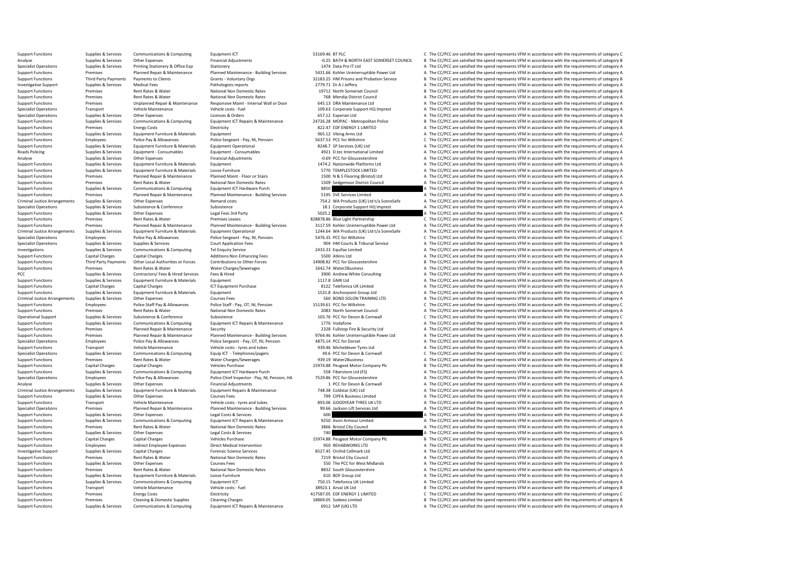Support Functions Supplies & Services Communications & Computing Equipment ICT Equipment ICT 53169.46 BT PLC COMMING COMPUTER COMPUTER COMPUTER COMPUTER COMPUTER COMPUTER COMPUTER COMPUTER COMPUTER COMPUTER COMPUTER COMPUT Analyse Supplies & Services Other Expenses Financial Adjustments Financial Adjustments -0.25 BATH & NORTH EAST SOMERSET COUNCIL B The CC/PCC are satisfied the spend represents VFM in accordance with the requirements of cat Specialist Operations Supplies & Services Printing Stationery & Office Exp Stationery Stationery A Stationery 1474 Data Pro IT Ltd A The CC/PCC are satisfied the spend represents VFM in accordance with the requirements of Support Functions Support Premises Premises Planned Repair & Maintenance Planned Maintenance - Building Services 5431.66 Kohler Uninterruptible Power Ltd A The CC/PCC are satisfied the spend represents VFM in accordance wi of the material of the C/PCC are attended the perdical capacity of the C/PCC are attended the spend represents VFM in accordance with the requirements of category B (and the compact of the compact of category B atthologics Investigative Support Supplies & Services Medical Fees Medical Fees Pathologists reports Pathologists reports 2001 279.71 Dr A J and The CC/PCC are satisfied the spend represents VFM in accordance with the requirements of Support Functions Premises Rent Rates & Water National Non Domestic Rates 19712 North Somerset Council B The CC/PCC are satisfied the spend represents VFM in accordance with the requirements of category B National Non Dome Support Functions Premises Support Functions Rent Rates A Vater National Non Domestic Rates National Non Domestic Rates 768 Mendip District Council A The CC/PCC are satisfied the spend represents VFM in accordance with the A The CC/PCC are satisfied the spend represents VFM in accordance with the requirements of category A Specialist Operations Transport Vehicle Maintenance Vehicle Costs - fuel vehicle costs - fuel 109.63 Corporate Support HQ Imprest A The CC/PCC are satisfied the spend represents VFM in accordance with the requirements of c Specialist Operations Supplies & Services Other Expenses Licences & Orders Licences A Orders Computing Licences A Computers of Category A The CC/PCC are satisfied the spend represents VFM in accordance with the requirement Support Functions Supplies & Services Communications & Computing Equipment ICT Repairs & Maintenance 24726.28 MOPAC - Metropolitan Police B The CC/PCC are satisfied the spend represents VFM in accordance with the requireme Support Functions Premises Energy Costs Electricity Electricity Electricity Electricity Electricity Electricity and a media and the CC/PCC are satisfied the spend represents VFM in accordance with the requirements of categ Support Functions Supplies & Services Equipment Furniture & Materials Equipment Equipment Equipment Equipment<br>Support Functions Support Functions and Police Pay & Allowances Police Sergeant - Pay, NI, Pension Support Suppo Support Functions Employees Police Pay & Allowances Police Sergeant - Pay, NI, Pension 5637.53 PCC for Wiltshire C The CC/PCC are satisfied the spend represents VFM in accordance with the requirements of category C Support A The CC/PCC are satisfied the spend represents VFM in accordance with the requirements of category A Roads Policing Supplies Supplies Equipment - Consumables Equipment - Consumables A The Consumables A The CONSULT A The CONSULT A The CONSULT A The CONSULT A The CONSULT A The CONSULT A The CONSULT A The CONSULT A The CONSU Analyse Supplies & Services Other Expenses Financial Adjustments -0.69 PCC for Gloucestershire -0.69 PCC for Gloucestershire A The CC/PCC are satisfied the spend represents VFM in accordance with the requirements of catego Support Functions Supplies & Services Equipment Furniture & Materials Equipment Equipment 1474.2 Nationwide Platforms Ltd A The CC/PCC are satisfied the spend represents VFM in accordance with the requirements of category Equipment Furniture & Materials Loose Furniture Constructions of category A STO TEMPLESTOCK LIMITED A The CC/PCC are satisfied the spend represents VFM in accordance with the requirements of category A The Computer Supplie Support Functions Premises Planned Repair & Maintenance Planned Maint - Floor or Stairs 1500 N & S Flooring (Bristol) Ltd A The CC/PCC are satisfied the spend represents VFM in accordance with the requirements of category Support Functions Premises Premises Rent Rates & Water National Non Domestic Rates 1509 Sedgemoor District Council A The CC/PCC are satisfied the spend represents VFM in accordance with the requirements of category A Suppo Support Functions Supplies & Services Communications & Computing Equipment ICT Hardware Purch and any and a Support Equipment Computing and a The CC/PCC are satisfied the spend represents VFM in accordance with the require Support Functions Premises Planned Repair & Maintenance Planned Maintenance - Building Services 5195 SVE Services Limited A The CC/PCC are satisfied the spend represents VFM in accordance with the requirements of category Criminal Justice Arrangements Supplies & Services Other Expenses Remand costs Remand costs 754.2 WA Products (UK) Ltd t/a SceneSafe A The CC/PCC are satisfied the spend represents VFM in accordance with the requirements of Specialist Operations Supporters Subsistence Subsistence Subsistence Subsistence Subsistence Subsistence Subsistence Subsistence Subsistence Subsistence Subsistence Subsistence Subsistence Subsistence Subsistence Subsisten Support Functions Support Functions Support Functions Support Functions of the CONCC are satisfied the spend represents VFM in accordance with the requirements of category A The COPC are satisfied the spend represents VFM Support Functions Rent Rates Rent Rates Rent Rates Rent Rates Rent Rates Rent Rates 2000 Control Control Control Control Control Control Control Control Control Control Control Control Control Control Control Control Contr Support Functions Premises Premises Planned Repair & Maintenance Planned Maintenance - Building Services 3117.59 Kohler Uninterruptible Power Ltd A The CC/PCC are satisfied the spend represents VFM in accordance with the r Criminal Justice Arrangements Supplies & Services Equipment Furniture & Materials Equipment Operational Equipment Operational 1244.64 WA Products (UK) Ltd t/a SceneSafe A The CC/PCC are satisfied the spend represents VFM i Employees Police Pay & Allowances Police Sergeant - Pay, NI, Pension 5476.35 PCC for Wiltshire C The CC/PCC are satisfied the spend represents VFM in accordance with the requirements of category C Sunniles to a Court Annil Specialist Operations Supplies & Services Supplies & Services Court Application Fees Court Application Fees 904 HM Courts & Tribunal Service A The CC/PCC are satisfied the spend represents VFM in accordance with the requir Investigations Supplies Alterications Supplies & Services Communications & Computing Tel Enquiry Service 2433.33 Equifax Limited A The CC/PCC are satisfied the spend represents VFM in accordance with the requirements of ca Support Functions Capital Charges Capital Charges Capital Charges Additions:Non Enhancing Fees 5500 Atkins Ltd Support Functions A The CC/PCC are satisfied the spend represents VFM in accordance with the requirements of ca B The CC/PCC are satisfied the spend represents VFM in accordance with the requirements of category B Support Functions Premises Premises Rent Rates & Water Water Charges/Sewerages Mater 2Business 1642.74 Water2Business A The CC/PCC are satisfied the spend represents VFM in accordance with the requirements of category A PC PCC PCC Supplies A Services Contractors/ Fees A Hired Services Fees & Hired Services Fees & Hired 3900 Andrew White Consulting A The CC/PCC are satisfied the spend represents VFM in accordance with the requirements of cate Support Functions Supplies & Services Equipment Furniture & Materials Equipment Equipment Equipment Equipment<br>Support Functions a Support Category A The CONSIDERATION A The COPC are satisfied the spend represents VFM in ac Capital Charges Capital Charges ICT Equipment Purchase S122 Telefonica UK Limited A The CC/PCC are satisfied the spend represents VFM in accordance with the requirements of category A The Criminal Burdes and the requiremen Support Functions Supplies & Services Equipment Functions Equipment Equipment Equipment Equipment Equipment 1531.8 Anchorpoint Group Ltd A The CC/PCC are satisfied the spend represents VFM in accordance with the requiremen Criminal Justice Arrangements Supplies & Services Other Expenses Courses Fees Courses Fees Fees Fees 560 BOND SOLON TRAINING LTD A The CC/PCC are satisfied the spend represents VFM in accordance with the requirements of ca Police Staff Pay, OT, NI, Pension 15139.61 PCC for Wiltshire COMESTAGE CONGLISHED CREATER ARE PROGREATER AND RE<br>Rent Rates & Water Material Promestic Rates of Allowances Police Stategory C 1083 North Somerset Council A The Support Functions Premises Rent Rates Water National Non Domestic Rates 2083 North Somerset Council A The CC/PCC are satisfied the spend represents VFM in accordance with the requirements of category A The Crime and the re Operational Support Supplies & Services Subsistence Subsistence Subsistence Subsistence Subsistence Subsistence<br>
Support Functions Support Support Support Support Support Support Engine Equirements Computing Equirements of Support Functions Supplies & Services Communications & Computing Equipment ICT Repairs & Maintenance 1776 Vodafone 1896 Voldafone A The CC/PCC are satisfied the spend represents VFM in accordance with the requirements of c Planned Repair & Maintenance Security Security 2328 Fullstop Fire & Security Ltd A The CC/PCC are satisfied the spend represents VFM in accordance with the requirements of category A The CC/PC are satisfied the spend repre Support Functions Premises Promises Planned Repair & Maintenance Planned Maintenance - Building Services 9764.46 Kohler Uninterruptible Power Ltd A The CC/PCC are satisfied the spend represents VFM in accordance with the r Specialist Operations Employees Police Pay & Allowances Police Sergeant - Pay, OT, NI, Pension 4875.14 PCC for Dorset A The CC/PCC are satisfied the spend represents VFM in accordance with the requirements of category A Ve Support Functions Transport Vehicle Maintenance Vehicle costs - tyres and tubes 939.46 Micheldever Tyres Ltd A The CC/PCC are satisfied the spend represents VFM in accordance with the requirements of category Communication Equip ICT - Telephones/pagers and the requirements of category C<br>
49.6 PCC for Devon & Cornwall Category C Che CC/PCC are satisfied the spend represents VFM in accordance with the requirements of category C<br>
4999.19 Water2 Support Functions Premises Rent Rates & Water Water Water Charges/Sewerages 939.19 Water2Business 939.19 Water2Business A The CC/PCC are satisfied the spend represents VFM in accordance with the requirements of category A Support Functions Capital Charges Capital Charges Vehicles Purchase Vehicles Purchase 15974.88 Peugeot Motor Company Plc B The CC/PCC are satisfied the spend represents VFM in accordance with the requirements of category B A The CC/PCC are satisfied the spend represents VFM in accordance with the requirements of category A Specialist Operations Employees Police Pay & Allowances Police Chief Inspector - Pay, NJ, Pension, HA 7529.86 PCC for Gloucestershire A The CC/PCC are satisfied the spend represents VFM in accordance with the requirements Analyse Supplies & Services Other Expenses Financial Adjustments Corner and a PCC for Devon & Cornwall A The CC/PCC are satisfied the spend represents VFM in accordance with the requirements of category A Criminal Justice Criminal Justice Arrangements Supplies & Services Equipment Furniture & Materials Equipment Repairs & Maintenance 748.38 Coldstar (UK) Ltd a The CC/PCC are satisfied the spend represents VFM in accordance with the requirem Support Functions Supplies & Services Other Expenses Courses Courses Fees Courses Courses Limited 799 CIPFA Business Limited A The CC/PCC are satisfied the spend represents VFM in accordance with the requirements of catego Support Functions Transport Vehicle Maintenance Vehicle Costs - tyres and tubes 893.06 GOODYEAR TYRES UK LTD A The CC/PCC are satisfied the spend represents VFM in accordance with the requirements of category A Specialist Premises Planned Repair & Maintenance Planned Maintenance - Building Services 99.66 Jackson Lift Services Ltd A The CC/PCC are satisfied the spend represents VFM in accordance with the requirements of category A per legal Support Functions Supplies & Services Other Expenses Legal Costs & Services Legal Costs & Services Legal Costs & Services **600** A The CC/PCC are satisfied the spend represents VFM in accordance with the requirements of cat A The CC/PCC are satisfied the spend represents VFM in accordance with the requirements of category A Support Functions and The CC/PCC are satisfied the spend represents VFM in accordance with the requirements of category A The CC/PCC are satisfied the spend represents VFM in accordance with the requirements of category A Support Functions Supplies & Services Other Expenses Legal Costs & Services Legal Costs & Services Legal Costs & Services 2010 Capital Changes Capital Changes Capital Changes Vehicles Purchase Vehicles Purchase 1997-88 Peu B. The CC/PCC are satisfied the spend represents VFM in accordance with the requirements of category B Support Functions Employees Indirect Employee Expenses Direct Medical Intervention Direct Medical Intervention<br>
Investigative Support Function Support The Support Schill Character Capital Character Capital Character Catego Investigative Support Supplies & Services Capital Charges Services Forensic Science Services 8527.45 Orchid Cellmark Ltd A The CC/PCC are satisfied the spend represents VFM in accordance with the requirements of category A Premises Rent Rates & Water Mational Non Domestic Rates 7219 Bristol City Council A The CC/PCC are satisfied the spend represents VFM in accordance with the requirements of category A Support Functions Supplies & Services Other Expenses Courses Fees Courses Fees Courses Fees 550 The PCC for West Midlands A The CC/PCC are satisfied the spend represents VFM in accordance with the requirements of category Support Functions Premises Rent Rates & Water National Non Domestic Rates and a Sample and the COPCC are satisfied the spend represents VFM in accordance with the requirements of category A Support Functions Support Functi Support Functions Support Functions A Support Functions A The CC/PCC are satisfied the spend represents VFM in accordance with the requirements of category A  $A$  The CC/PCC are satisfied the spend represents VFM in accorda Support Functions Supplies & Services Communications & Computing Equipment ICT 750.15 Telefonica UK Limited A The CC/PCC are satisfied the spend represents VFM in accordance with the requirements of category A Vehicle Main B The CC/PCC are satisfied the spend represents VFM in accordance with the requirements of category B Support Functions Functions Premises Energy Costs Electricity Electricity Electricity Electricity and the spend in the COPC are satisfied the spend represents VFM in accordance with the requirements of category C<br>Support F Support Functions Premises Cleaning & Domestic Supplies Cleaning Charges Cleaning Charges Cleaning Charges 18869.05 Sodexo Limited B The CC/PCC are satisfied the spend represents VFM in accordance with the requirements of A The CC/PCC are satisfied the spend represents VFM in accordance with the requirements of category A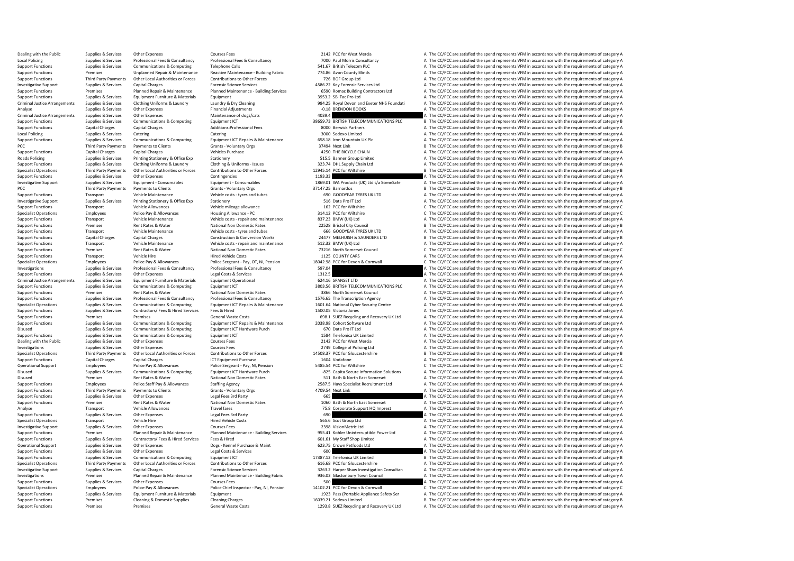Dealing with the Public Supplies & Services Other Expenses Courses Courses Fees 2012 PCC for West Mercia A The CC/PCC are satisfied the spend represents VFM in accordance with the requirements of category A The COVICA The Local Policing Supplies & Services Professional Fees & Consultancy Professional Fees & Consultancy Professional Fees & Consultancy 7000 Paul Morris Consultancy A The CC/PCC are satisfied the spend represents VFM in accorda Support Functions Supplies & Services Communications & Computing Telephone Calls Telephone Calls 541.67 British Telecom PLC A The CC/PCC are satisfied the spend represents VFM in accordance with the requirements of categor Support Functions Premises Unplanned Repair & Maintenance Reactive Maintenance - Building Fabric 774.86 Avon County Blinds A The CC/PCC are satisfied the spend represents VFM in accordance with the requirements of category Support Functions Third Party Payments Other Local Authorities or Forces Contributions to Other Forces Contributions to Other Forces 726 BOF Group Ltd A The CC/PCC are satisfied the spend represents VFM in accordance with Investigative Support Supplies & Services Capital Charges Forensic Science Services and a The CC/PCC are satisfied the spend represents VFM in accordance with the requirements of category A The Critectors and the requireme Support Functions Support Premises Premises Planned Repair & Maintenance Planned Maintenance Building Services 6590 Romac Building Contractors Ltd A The CC/PCC are satisfied the spend represents VFM in accordance with the Support Functions Supplies & Services Equipment Furniture & Materials Equipment Equipment Equipment Equipment<br>3953.2 Support Functions A The CC/PCC are satisfied the spend represents VFM in accordance with the requirements 84.25 Royal Devon and Exeter NHS Foundati A The CC/PCC are satisfied the spend represents VFM in accordance with the requirements of category A<br>A The CC/PCC are satisfied the spend represents VEM in accordance with the req Analyse Supplies & Supplies & Services Other Expenses Financial Adjustments Financial Adjustments -0.18 BRENDON BOOKS A The CC/PCC are satisfied the spend represents VFM in accordance with the requirements of category A Cr Criminal Justice Arrangements Supplies & Services Other Expenses Maintenance of dogs/cats Maintenance of dogs/cats 4039.4 A The CC/PCC are satisfied the spend represents VFM in accordance with the requirements of category Support Functions Supplies & Services Communications & Computing Equipment ICT Equipment ICT 38659.73 BRITISH TELECOMMUNICATIONS PLC B The CC/PCC are satisfied the spend represents VFM in accordance with the requirements o Support Functions Capital Charges Capital Charges Capital Charges Additions:Professional Fees 8000 Berwick Partners 8000 Berwick Partners A The CC/PCC are satisfied the spend represents VFM in accordance with the requireme Local Policing Supplies A Supplies & Services Catering Catering Catering Catering Catering Catering Catering Catering Catering Support Support A The CC/PCC are satisfied the spend represents VFM in accordance with the requ Support Functions Supplies & Services Communications & Computing Equipment ICT Repairs & Maintenance 658.18 Iron Mountain UK Plc And The CC/PCC are satisfied the spend represents VFM in accordance with the requirements of PCC/PCC are satisfied the spend represents VFM in accordance with the requirements of category B The CC/PCC are satisfied the spend represents VFM in accordance with the requirements of category B A The CC/PCC are satisfie Support Functions Capital Charges Capital Charges Vehicles Purchase Vehicles Purchase 4250 THE BICYCLE CHAIN A The CC/PCC are satisfied the spend represents VFM in accordance with the requirements of category A Real of the Roads Policing Supplies & Services Printing Stationery & Office Exp Stationery Stationery Stationery Stationery Stationery Stationery Stationery Stationery Stationery Stationery States Stategory A The CC/PCC are satisfied Support Functions Supplies & Services Clothing Uniforms & Laundry Clothing & Uniforms - Issues 323.74 DHL Supply Chain Ltd A The CC/PCC are satisfied the spend represents VFM in accordance with the requirements of category B The CC/PCC are satisfied the spend represents VFM in accordance with the requirements of category B<br>A The CC/PCC are satisfied the spend represents VFM in accordance with the requirements of category A Support Functions Supplies & Services Other Expenses Contingencies Contingencies Contingencies Contingencies Contingencies 1193.33 A The CC/PCC are satisfied the spend represents VFM in accordance with the requirements of Investigative Support Supplies & Services Equipment - Consumables Equipment - Consumables Equipment - Consumables Equipment - Consumables and the Service of the Services of the COPCC are satisfied the spend represents VFM PCC Third Party Payments of Dents Clients Grants Voluntary Orgs 37147.25 Barnardos 37147.25 Barnardos B The CC/PCC are satisfied the spend represents VFM in accordance with the requirements of category B Shape of Color a Support Functions Transport Vehicle Maintenance Vehicle costs - tyres and tubes 690 GOODYEAR TYRES UK LTD A The CC/PCC are satisfied the spend represents VFM in accordance with the requirements of category A Investigative Investigative Support Supplies & Services Printing Stationery Stationery Stationery Stationery Stationery Stationery Stationery Stationery Stationer State and The CC/PC are satisfied the spend represents VFM in accordance Support Functions Transport Vehicle Allowance Vehicle mileage allowance Vehicle mileage allowance 162 PCC for Wiltshire C The CC/PCC are satisfied the spend represents VFM in accordance with the requirements of category C Police Pay & Allowances Housing Allowance - PC = 314.12 PCC for Wiltshire 314.12 PCC for Wiltshire C The CC/PCC are satisfied the spend represents VFM in accordance with the requirements of category C 314.12 PCC for Wiltsh Support Functions Transport Vehicle Maintenance Vehicle costs - repair and maintenance 837.23 BMW (UK) Ltd A The CC/PCC are satisfied the spend represents VFM in accordance with the requirements of category A Support Functions Premises Rent Rates & Water National Non Domestic Rates 22528 Bristol City Council B The CC/PCC are satisfied the spend represents VFM in accordance with the requirements of category B Vehicle Category B Support Functions Transport Vehicle Maintenance Vehicle costs - tyres and tubes 666 GOODYEAR TYRES UK LTD A The CC/PCC are satisfied the spend represents VFM in accordance with the requirements of category A Construction & Support Functions Capital Charges Capital Charges Capital Charges Construction & Construction & Construction Works 24477 MELHUISH & SAUNDERS LTD B The CC/PCC are satisfied the spend represents VFM in accordance with the r Support Functions Transport Vehicle Maintenance Vehicle costs - repair and maintenance 512.32 BMW (UK) Ltd A The CC/PCC are satisfied the spend represents VFM in accordance with the requirements of category A National Man Support Functions Premises Premises Rent Rates & Water National Non Domestic Rates 73216 North Somerset Council C The CC/PCC are satisfied the spend represents VFM in accordance with the requirements of category C Hure of Support Functions Transport Vehicle Hire Vehicle Hired Vehicle Costs 1125 COUNTY CARS A The CC/PCC are satisfied the spend represents VFM in accordance with the requirements of category A Police Pay & Allowances Police Ser Employees Police Pay & Allowances Police Sergeant - Pay, OT, NI, Pension 18042.98 PCC for Devon & Cornwall C The CC/PCC are satisfied the spend represents VFM in accordance with the requirements of category C Investigations Supplies & Supplies & Services Professional Fees & Consultancy Professional Fees & Consultancy<br>
Support Functions Supplies & Services Other Expenses Legal Costs & Services Legal Costs & Services A The CC/PCC Support Functions Supplies & Services Other Expenses Legal Costs & Services Legal Costs & Services Legal Costs & Services Legal Costs & Services Legal Costs & Services Equipment Supplies & Services Equipment Functure & Mat Criminal Justice Arrangements Supplies & Services Equipment Furniture & Materials Equipment Operational 624.16 SPANSET LTD A The CC/PCC are satisfied the spend represents VFM in accordance with the requirements of category Communications & Computing Equipment ICT examples and the Support FULECOMMUNICATIONS PLC A The CC/PCC are satisfied the spend represents VFM in accordance with the requirements of category A<br>3865 North Somerser Council a T Support Functions Premises Premises Rent Rates Water National Non Domestic Rates 3866 North Somerset Council A The CC/PCC are satisfied the spend represents VFM in accordance with the requirements of category A Support Fun Support Functions Supplies & Services Professional Fees & Consultancy Professional Fees & Consultancy Professional Fees & Consultancy Professional Fees & Consultancy 1576.65 The Transcription Agency A The CC/PCC are satisf Specialist Operations Supplies & Services Communications & Computing Equipment ICT Repairs & Maintenance 1601.64 National Cyber Security Centre A The CC/PCC are satisfied the spend represents VFM in accordance with the req Support Functions Supplies & Services Contractors/ Fees & Hired Services Fees & Hired Services Fees & Hired 1500.05 Victoria Jones A The CC/PCC are satisfied the spend represents VFM in accordance with the requirements of Support Functions Premises Premises Premises Premises Computing General Waste Costs 698.1 SUEZ Recycling and Recovery UK Ltd A The CC/PCC are satisfied the spend represents VFM in accordance with the requirements of catego Supplies & Services Communications & Computing Equipment ICT Repairs & Maintenance 2038.98 Cohort Software Ltd A The CC/PCC are satisfied the spend represents VFM in accordance with the requirements of category A Communica Disused Supplies & Services Communications & Computing Equipment ICT Hardware Purch 670 Data Pro IT Ltd A The CC/PCC are satisfied the spend represents VFM in accordance with the requirements of category A Supplies & Servi Support Functions Supplies & Services Communications & Computing Equipment ICT and the Support Telefonica UK Limited A The CC/PCC are satisfied the spend represents VFM in accordance with the requirements of category A Cou Dealing with the Public Supplies & Services Other Expenses 2007 Courses Fees 2007 2142 PCC for West Mercia A The CC/PCC are satisfied the spend represents VFM in accordance with the requirements of category A Courses Cours Investigations Supplies & Services Other Expenses Courses Fees Courses Courses Courses Courses Courses Courses<br>Specialist Operations Supplies A Third Party Payments of Category Boundal and the The Services Contributions to B The CC/PCC are satisfied the spend represents VFM in accordance with the requirements of category B Support Functions Capital Charges Capital Charges Capital Charges ICT Equipment Purchase 1604 Vodafone 1604 Vodafone A The CC/PCC are satisfied the spend represents VFM in accordance with the requirements of category A Pol Operational Support Employees Police Pay & Allowances Police Sergeant - Pay, NI, Pension 5485.54 PCC for Wiltshire C The CC/PCC are satisfied the spend represents VFM in accordance with the requirements of category C Discu A The CC/PCC are satisfied the spend represents VFM in accordance with the requirements of category A Disused Premises Rent Rates & Water National Non Domestic Rates 511 Bath & North East Somerset A The CC/PCC are satisfied the spend represents VFM in accordance with the requirements of category A Support Functions Employees Police Staff Pay & Allowances Staffing Agency Staffing Agency 2587.5 Hays Specialist Recruitment Ltd A The CC/PCC are satisfied the spend represents VFM in accordance with the requirements of ca Support Functions Third Party Payments of Damits Clients Grants View Grants Coluntary Orgs Grants Grants Grants Grants Grants Grants Coluntary Orgs 4709.54 Next Link A The CC/PCC are satisfied the spend represents VFM in a Support Functions Supplies & Services Other Expenses Legal Fees 3rd Party Legal Fees 3rd Party Cegal Fees 3rd Party 665 A The CC/PCC are satisfied the spend represents VFM in accordance with the requirements of category A Premises Rent Rates & Water Mational Non Domestic Rates 1060 Bath & North East Somerset A The CC/PCC are satisfied the spend represents VFM in accordance with the requirements of category A Travel fares 1060 Bath & North E Analyse Chapter Transport Vehicle Allowances Travel fares Travel fares Travel fares Travel fares Travel fares Travel fares Travel fares Travel fares Travel fares Travel fares Travel fares Travel fares Travel fares Travel f Support Functions Supplies & Services Other Expenses Legal Fees 3rd Party 690 A The CC/PCC are satisfied the spend represents VFM in accordance with the requirements of category A The Criterians Services Contents of catego A The CC/PCC are satisfied the spend represents VFM in accordance with the requirements of category A Investigative Supplies Services Other Expenses Courses Fees 2398 VisionMetric Ltd A The CC/PCC are satisfied the spend represents VFM in accordance with the requirements of category A The CC/PCC are satisfied the spend rep Support Functions Support Premises Premises Planned Repair & Maintenance Planned Maintenance - Building Services 955.41 Kohler Uninterruptible Power Ltd A The CC/PCC are satisfied the spend represents VFM in accordance wit Support Fees & Hired Functions Support Functions Support Fees & Hired Services A The CC/PCC are satisfied the spend represents VFM in accordance with the requirements of category A The CC/PCC are satisfied the spend repres Operational Support Supplies & Services Other Expenses Dogs - Kennel Purchase & Maint 623.75 Crown Petfoods Ltd A The CC/PCC are satisfied the spend represents VFM in accordance with the requirements of category A The Crow Support Functions Supplies & Services Other Expenses Legal Costs & Services Legal Costs & Services Legal Costs & Services 600 A The CC/PCC are satisfied the spend represents VFM in accordance with the requirements of categ Supplies & Services Communications & Computing Equipment ICT Equipment ICT 17387.12 Telefonica UK Limited B The CC/PCC are satisfied the spend represents VFM in accordance with the requirements of category B Third Party Pa Specialist Operations Third Party Payments Other Local Authorities or Forces Contributions to Other Forces 616.68 PCC for Gloucestershire A The CC/PCC are satisfied the spend represents VFM in accordance with the requireme Investigative Support Support Supplies & Services Capital Charges Capital Charges Forensic Science Services Competers of Competition Consultan 3263.2 Harger Shaw Investigation Consultan A The CC/PCC are satisfied the spend A The CC/PCC are satisfied the spend represents VFM in accordance with the requirements of category A Support Functions Supplies & Services Other Expenses Courses Fees Courses Fees 500 Support Functions A The CC/PCC are satisfied the spend represents VFM in accordance with the requirements of category A Police Pay & Allowa Employees Police Pay & Allowances Police Chief Inspector - Pay, NI, Pension 14102.21 PCC for Devon & Cornwall C The CC/PCC are satisfied the spend represents VFM in accordance with the requirements of category C Support Functions Supplies & Services Equipment Functure & Materials Equipment Equipment 1923 Pass (Portable Applicate Applicate Safety Ser A The CC/PCC are satisfied the spend represents VFM in accordance with the require Support Functions Premises Cleaning & Domestic Supplies Cleaning Charges Cleaning Charges Cleaning Charges 16039.21 Sodexo Limited B The CC/PCC are satisfied the spend represents VFM in accordance with the requirements of A The CC/PCC are satisfied the spend represents VFM in accordance with the requirements of category A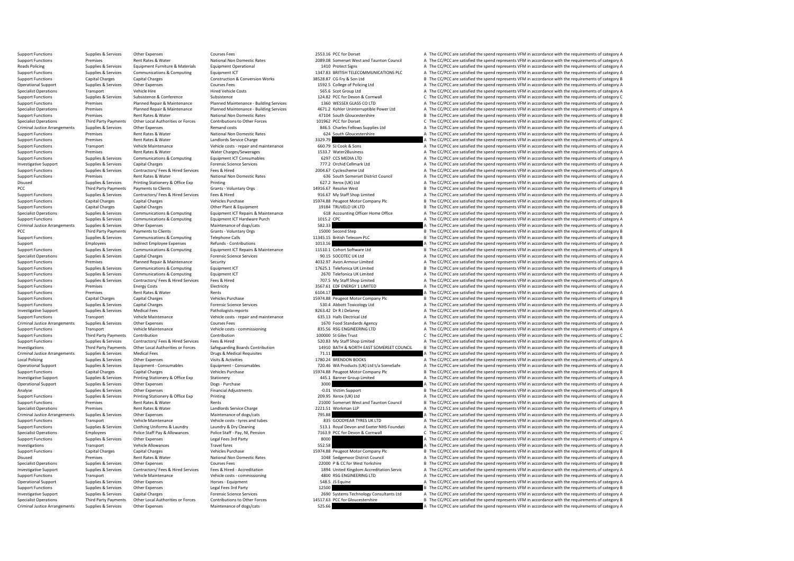Support Functions Supplies & Services Other Expenses Courses Courses Fees 2553.16 PCC for Dorset A The CC/PCC are satisfied the spend represents VFM in accordance with the requirements of category A National Non Domestic R Support Functions Premises Rent Rates & Water National Non Domestic Rates 2089.08 Somerset West and Taunton Council A The CC/PCC are satisfied the spend represents VFM in accordance with the requirements of category A Reat Roads Policing Supplies & Services Equipment Furniture & Materials Equipment Operational 1410 Protect Signs 1410 Protect Signs A The CC/PCC are satisfied the spend represents VFM in accordance with the requirements of cate Support Functions Supplies & Services Communications & Computing Equipment ICT 1347.83 BRITISH TELECOMMUNICATIONS PLC A The CC/PCC are satisfied the spend represents VFM in accordance with the requirements of category B<br>Su Support Functions Capital Charges Capital Charges Capital Charges Construction & Conversion Works 38528.87 CG Fry & Son Ltd B The CC/PCC are satisfied the spend represents VFM in accordance with the requirements of categor Operational Support Supplies & Services Other Expenses Courses Courses Courses Courses Courses Courses Courses Courses Courses Courses Courses and the Service of December 2012. The COPCC are satisfied the spend represents Specialist Operations Transport Vehicle Hire Vehicle Hire Hired Vehicle Costs 565.6 Scot Group Ltd A The CC/PCC are satisfied the spend represents VFM in accordance with the requirements of category A Subsistence Subsisten Support Functions Supplies & Services Subsistence Subsistence Subsistence Subsistence Subsistence Subsistence<br>Support Functions Support Planned Maintenance Planned Maintenance Building Services 1360 WESSEX GLASS COLTD A Th Planned Repair & Maintenance Planned Maintenance - Building Services 1360 WESSEX GLASS CO LTD A The CC/PCC are satisfied the spend represents VFM in accordance with the requirements of category A The CC/PC are satisfied th Specialist Operations Premises Promises Planned Repair & Maintenance Planned Maintenance - Building Services 4671.2 Kohler Uninterruptible Power Ltd A The CC/PCC are satisfied the spend represents VFM in accordance with th Support Functions Premises Premises Rent Rates & Water National Non Domestic Rates 47104 South Gloucestershire B The CC/PCC are satisfied the spend represents VFM in accordance with the requirements of category B National Specialist Operations Third Party Payments Other Local Authorities or Forces Contributions to Other Forces 101962 PCC for Dorset C. The CC/PCC are satisfied the spend represents VFM in accordance with the requirements of c Criminal Justice Arrangements Supplies & Services Other Expenses Remand costs Remand costs 846.5 Charles Fellows Supplies Ltd A The CC/PCC are satisfied the spend represents VFM in accordance with the requirements of categ Support Functions Premises Rent Rates & Water National Non Domestic Rates 624 South Gloucestershire A The CC/PCC are satisfied the spend represents VFM in accordance with the requirements of category A Support Functions Pr Support Functions Premises Rent Rates & Water Landlords Service Charge 3329.79 A The CC/PCC are satisfied the spend represents VFM in accordance with the requirements of category A Support Functions and The Category A The Support Functions Transport Functions Transport A. The CC/PCC are satisfied the spend represents VFM in accordance with the requirements of category A The Crica are satisfied the spend represents VFM in accordance with the Support Functions Premises Rent Rates Rent Rates Rent Rates Rent Rates Rent Rates A The Conservations and the requirements of category A The CC/PC are satisfied the spend represents VFM in accordance with the requirements Support Functions Supplies & Services Communications & Computing Equipment ICT Consumables 6297 CCS MEDIA LTD A The CC/PCC are satisfied the spend represents VFM in accordance with the requirements of category A Foreion an Investigative Support Supplies & Services Capital Charges Forensic Science Services Forensic Science Services 777.2 Orchid Cellmark Ltd A The CC/PCC are satisfied the spend represents VFM in accordance with the requirement Fees & Hired Punctices Records Contractors: The COPCC are satisfied the spend represents VFM in accordance with the requirements of category A<br>A The CC/PCC are satisfied the spend represents VFM in accordance with the requ Support Functions Premises Premises Rent Rates & Water National Non Domestic Rates 636 South Somerset District Council A The CC/PCC are satisfied the spend represents VFM in accordance with the requirements of category A D Disused Supplies & Services Printing Stationery & Office Exp Printing Printing Printing Printing Printing Printing Manual Counter Stategory A Services Stategory A The CC/PCC are satisfied the spend represents VFM in accord PCC Third Party Payments Payments to Clients Grants Grants Grants Grants Grants Grants Crants Grants Crants Crants Crants Grants Crants Crants Crants Crants Crants Grants Grants Crants Crants Crants Organization and the Cr Support Functions Supplies & Services Contractors/ Fees & Hired Services Fees & Hired 916.67 My Staff Shop Limited A The CC/PCC are satisfied the spend represents VFM in accordance with the requirements of category A Vehic Support Functions Capital Charges Capital Charges Vehicles Purchase Vehicles Purchase 15974.88 Peugeot Motor Company Plc B The CC/PCC are satisfied the spend represents VFM in accordance with the requirements of category B Support Functions Capital Charges Capital Charges Capital Charges Other Plant & Equipment Other Plant & Equipment 19184 TRUVELO UK LTD B The CC/PCC are satisfied the spend represents VFM in accordance with the requirements Supplies & Services Communications & Computing Equipment ICT Repairs & Maintenance 618 Accounting Officer Home Office A The CC/PCC are satisfied the spend represents VFM in accordance with the requirements of category A Co Support Functions Supporters Support Communications & Computing Faulty Functions Functions Faulty and The COMPUT 1015.2 CPC A The CC/PCC are satisfied the spend represents VFM in accordance with the requirements of categor Criminal Justice Arrangements Supplies & Services Other Expenses Maintenance of dogs/cats Maintenance of dogs/cats 582.33 A The CC/PCC are satisfied the spend represents VFM in accordance with the requirements of category PCC Third Party Payments of Payments of Clients Grants Violuntary Orgs Scheme Step B The CC/PCC are satisfied the spend represents VFM in accordance with the requirements of category B Support Functions Supplies & Services Telephone Calls **Support Functions Suppliers Communications** Computing Telephone Calls 11345.15 British Telecom PLC<br>**A** The CC/PCC are satisfied the spend represents VFM in accordance with the requirements of category B Re Support Employees Indirect Employee Expenses Refunds - Contributions 1013.16 A The CC/PCC are satisfied the spend represents VFM in accordance with the requirements of category A The Critical Contributions Connumications C Support Functions Supplies & Services Communications & Computing Equipment ICT Repairs & Maintenance 11510.1 Cohort Software Ltd B The CC/PCC are satisfied the spend represents VFM in accordance with the requirements of ca Specialist Operations Supplies & Services Capital Charges Capital Charges Forensic Science Services Porensic Science Services 90.15 SOCOTEC UK Ltd A The CC/PCC are satisfied the spend represents VFM in accordance with the Support Functions A The CC/PCC are satisfied the spend represents VFM in accordance with the requirements of category A The CC/PCC are satisfied the spend represents VFM in accordance with the requirements of category A Th Support Functions Supplies & Services Communications & Computing Equipment ICT and the Support Equipment ICT 17625.1 Telefonica UK Limited B The CC/PCC are satisfied the spend represents VFM in accordance with the requirem Support Functions Supplies & Services Communications & Computing Equipment ICT 2670 Telefonica UK Limited A The CC/PCC are satisfied the spend represents VFM in accordance with the requirements of category A Support Functi Support Functions Supplies & Services Contractors/ Fees & Hired Services Fees & Hired Fees & Hired 707.5 My Staff Shop Limited A The CC/PCC are satisfied the spend represents VFM in accordance with the requirements of cate Support Functions Functions Electricity and the Support Functions 3567.61 EDF ENERGY 1 LIMITED A The CC/PCC are satisfied the spend represents VFM in accordance with the requirements of category A Support and the requireme Support Functions Premises Premises Rent Rates & Water Rents Rents Rents Rents Rents Rents Rents Rents Rents Rents CONCL 2014.17 A The CC/PCC are satisfied the spend represents VFM in accordance with the requirements of ca Support Functions Capital Charges Capital Charges Vehicles Purchase Vehicles Purchase 15974.88 Peugeot Motor Company Plc B The CC/PCC are satisfied the spend represents VFM in accordance with the requirements of category B Supplies & Services Capital Charges Support Forensic Science Services 530.4 Abbott Toxicology Ltd A The CC/PCC are satisfied the spend represents VFM in accordance with the requirements of category A Support of the spend p Investigative Support Supplies & Services Medical Fees Medical Fees Pathologists reports a Pathologists reports 8263.42 Dr R J Delaney A The CC/PCC are satisfied the spend represents VFM in accordance with the requirements Support Functions Transport Vehicle Maintenance Vehicle Costs - repair and maintenance 635.13 Halls Electrical Ltd A The CC/PCC are satisfied the spend represents VFM in accordance with the requirements of category A Cours Criminal Justice Arrangements Supplies & Services Other Expenses Courses Courses Fees Courses Courses Courses Courses Courses Courses Courses Courses Courses Courses a 1670 Food Standards Agency A The CC/PCC are satisfied Transport Vehicle Maintenance Vehicle costs - commissioning 835.56 RSG ENGINEERING LTD A The CC/PCC are satisfied the spend represents VFM in accordance with the requirements of category A Contribution Contribution Contrib Support Functions Third Party Payments Contribution Contribution Contribution Contribution Contribution Contribution 100000 St Giles Trust C The CC/PCC are satisfied the spend represents VFM in accordance with the requirem Support Functions Supplies & Services Contractors/ Fees & Hired Services Fees & Hired Services Fees & Hired Services Fees & Hired Services Fees & Hired Services Safeguardine Boards Contribution 520.83 My Staff Shop Limited Investigations Third Party Payments Other Local Authorities or Forces Safeguarding Boards Contribution 1990 BATH & NORTH EAST SOMERSET COUNCIL B The CC/PCC are satisfied the spend represents VFM in accordance with the requ The CC/PCC are satisfied the spend represents VFM in accordance with the requirements of category A Local Policing Supplies & Supplies & Services Other Expenses Visits & Activities Visits & Activities Visits & Activities 1780.24 BRENDON BOOKS A The CC/PCC are satisfied the spend represents VFM in accordance with the requ Operational Support Supplies & Services Equipment - Consumables Equipment - Consumables Equipment - Consumables<br>
Support Functions Capital Charges Capital Charges Vehicles Purchase Vehicles Purchase 15974.88 Peugeot Motor Capital Charges Capital Charges Vehicles Purchase Vehicles Purchase 15974.88 Peugeot Motor Company Plc B The CC/PCC are satisfied the spend represents VFM in accordance with the requirements of category B 145.1 Banner Grou Investigative Support Supplies & Services Printing Stationery Stationery Stationery Stationery Stationery Stationery and A The CC/PCC are satisfied the spend represents VFM in accordance with the requirements of category A Operational Support Supplies & Services Other Expenses Dogs - Purchase Dogs - Purchase 2000 3000 A The CC/PCC are satisfied the spend represents VFM in accordance with the requirements of category B and the spend represent Analyse Supplies Analyse Supplies Services Other Expenses Financial Adjustments Financial Adjustments -0.01 Victim Support B The CC/PCC are satisfied the spend represents VFM in accordance with the requirements of category Printing Stationery & Office Exp Printing Printing 209.95 Xerox (UK) Ltd A The CC/PCC are satisfied the spend represents VFM in accordance with the requirements of category A The CC/PC are satisfied the spend represents VF Support Functions Premises Rent Rates & Water Rents Rents Rents Rents Rents Rents 21000 Somerset West and Taunton Council B The CC/PCC are satisfied the spend represents VFM in accordance with the requirements of category Premises Rent Rates & Water Mandlords Service Charge 2221.51 Workman LLP A The CC/PCC are satisfied the spend represents VFM in accordance with the requirements of category A The Crime and the respect of category A The CC/ Criminal Justice Arrangements Supplies & Services Other Expenses Maintenance of dogs/cats Maintenance Maintenance Maintenance Maintenance of dogs/cats 795.88 A The CC/PCC are satisfied the spend represents VFM in accordanc A The CC/PCC are satisfied the spend represents VFM in accordance with the requirements of category A Supplement of the services continued informs & Laundry and the services of the content of the equipment of the content of the content of the content of the content of the content of the content of the content of the conten Specialist Operations Employees Police Staff Pay & Allowances Police Staff - Pay, NJ, Pension 7163.9 PCC for Devon & Cornwall C The CC/PCC are satisfied the spend represents VFM in accordance with the requirements of categ The CC/PCC are satisfied the spend represents VFM in accordance with the requirements of category A Investigations Transport Vehicle Allowances Travel fares Travel fares S52.58 A The CC/PCC are satisfied the spend represents VFM in accordance with the requirements of category A The CONSTRATE STATES ARE SECTION OF CATEGOR Support Functions Capital Charges Capital Charges Capital Charges Vehicles Purchase Vehicles Purchase 15974.88 Peugeot Motor Company Plc B The CC/PCC are satisfied the spend represents VFM in accordance with the requiremen Disused Premises Rent Rates & Water National Non Domestic Rates 1048 Sedgemoor District Council A The CC/PCC are satisfied the spend represents VFM in accordance with the requirements of category A Specialist Operations Supplies & Services Other Expenses Courses Fees Arined Courses Fees At Courses Fees 2000 P and the COV PROC for West Yorkshire B The CC/PCC are satisfied the spend represents VFM in accordance with th Investigative Support Supplies & Services Contractors/Fees & Hired Services Fees & Hired Accreditation environment and the education Service and the CC/PCC are satisfied the spend represents VFM in accordance with the requ Support Functions Transport Transport Commissions A The CC/PCC are satisfied the spend represents VFM in accordance with the requirements of category A  $A = 548.5$  JS Equine  $A = 548.5$  JS Equirements of category A  $A = 548.5$ Operational Support Supplies & Services Other Expenses Horses Equipment Horses - Equipment 548.5 JS Equine 548.5 JS Equine A The CC/PCC are satisfied the spend represents VFM in accordance with the requirements of category The CC/PCC are satisfied the spend represents VFM in accordance with the requirements of category B investigate Supplies and the services of the control of the control of the control of the control of the control of the control of the control of the control of the control of the control of the control of the control of t Specialist Operations Third Party Payments Other Local Authorities or Forces Contributions to Other Forces 14517.63 PCC for Gloucestershire B The CC/PCC are satisfied the spend represents VFM in accordance with the require

The CC/PCC are satisfied the spend represents VFM in accordance with the requirements of category A